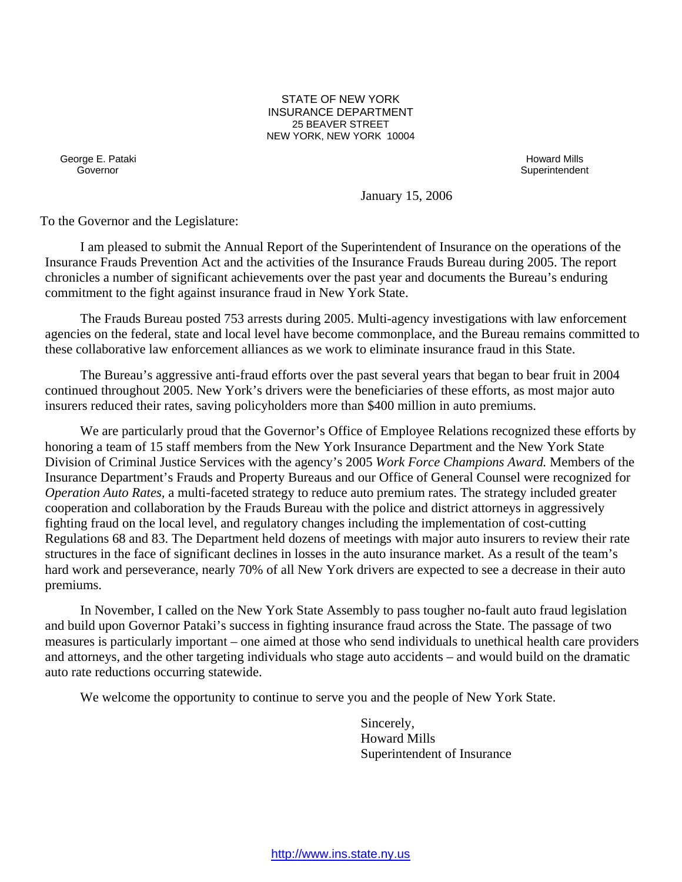**25 BEAVER STREET** STATE OF NEW YORK INSURANCE DEPARTMENT NEW YORK, NEW YORK 10004

George E. Pataki Howard Mills and the Contract of the Contract of the Contract of the Contract of the Contract of the Contract of the Contract of the Contract of the Contract of the Contract of the Contract of the Contract

Governor Superintendent Superintendent Superintendent Superintendent Superintendent Superintendent Superintendent

January 15, 2006

To the Governor and the Legislature:

I am pleased to submit the Annual Report of the Superintendent of Insurance on the operations of the Insurance Frauds Prevention Act and the activities of the Insurance Frauds Bureau during 2005. The report chronicles a number of significant achievements over the past year and documents the Bureau's enduring commitment to the fight against insurance fraud in New York State.

The Frauds Bureau posted 753 arrests during 2005. Multi-agency investigations with law enforcement agencies on the federal, state and local level have become commonplace, and the Bureau remains committed to these collaborative law enforcement alliances as we work to eliminate insurance fraud in this State.

The Bureau's aggressive anti-fraud efforts over the past several years that began to bear fruit in 2004 continued throughout 2005. New York's drivers were the beneficiaries of these efforts, as most major auto insurers reduced their rates, saving policyholders more than \$400 million in auto premiums.

We are particularly proud that the Governor's Office of Employee Relations recognized these efforts by honoring a team of 15 staff members from the New York Insurance Department and the New York State Division of Criminal Justice Services with the agency's 2005 *Work Force Champions Award.* Members of the Insurance Department's Frauds and Property Bureaus and our Office of General Counsel were recognized for *Operation Auto Rates,* a multi-faceted strategy to reduce auto premium rates. The strategy included greater cooperation and collaboration by the Frauds Bureau with the police and district attorneys in aggressively fighting fraud on the local level, and regulatory changes including the implementation of cost-cutting Regulations 68 and 83. The Department held dozens of meetings with major auto insurers to review their rate structures in the face of significant declines in losses in the auto insurance market. As a result of the team's hard work and perseverance, nearly 70% of all New York drivers are expected to see a decrease in their auto premiums.

In November, I called on the New York State Assembly to pass tougher no-fault auto fraud legislation and build upon Governor Pataki's success in fighting insurance fraud across the State. The passage of two measures is particularly important – one aimed at those who send individuals to unethical health care providers and attorneys, and the other targeting individuals who stage auto accidents – and would build on the dramatic auto rate reductions occurring statewide.

We welcome the opportunity to continue to serve you and the people of New York State.

 Sincerely, Howard Mills Superintendent of Insurance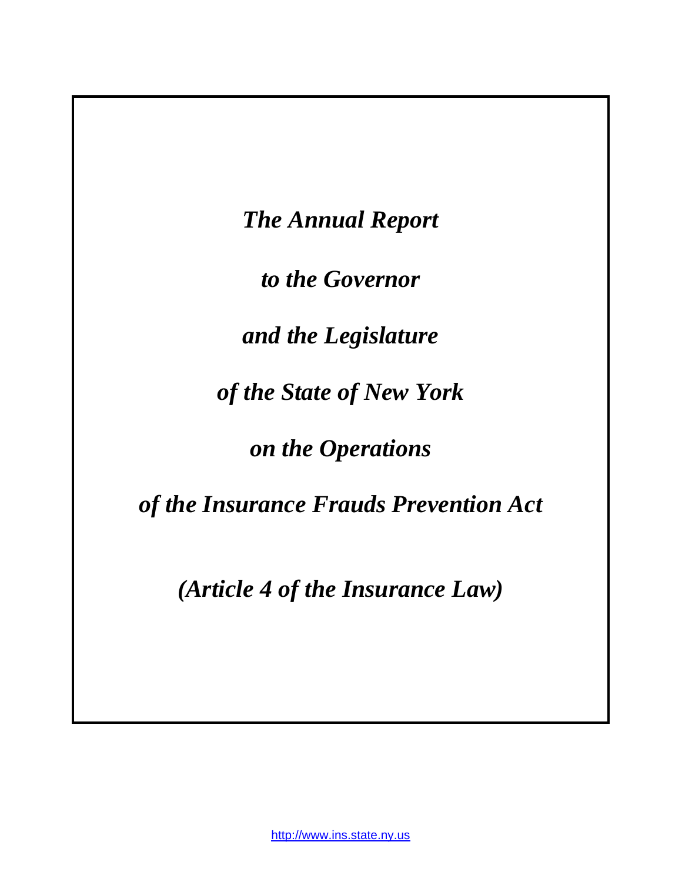*The Annual Report* 

*to the Governor* 

*and the Legislature* 

*of the State of New York* 

*on the Operations* 

*of the Insurance Frauds Prevention Act* 

*(Article 4 of the Insurance Law)*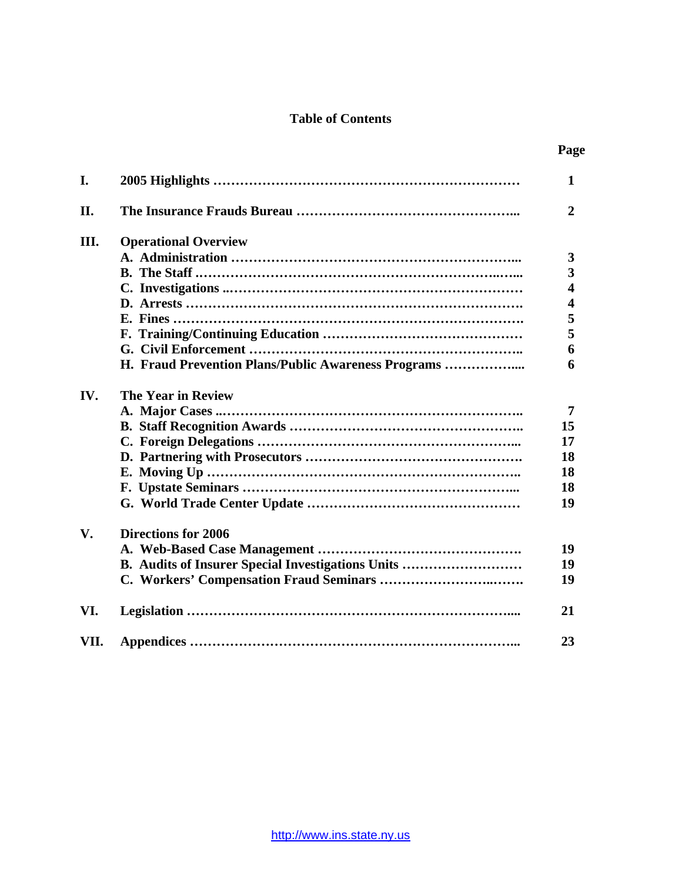# **Table of Contents**

**Page** 

| I.   |                                                     | 1                       |
|------|-----------------------------------------------------|-------------------------|
| П.   |                                                     | $\overline{2}$          |
| Ш.   | <b>Operational Overview</b>                         |                         |
|      |                                                     | 3                       |
|      |                                                     | 3                       |
|      |                                                     | $\overline{\mathbf{4}}$ |
|      |                                                     | $\overline{\mathbf{4}}$ |
|      |                                                     | 5                       |
|      |                                                     | 5                       |
|      |                                                     | 6                       |
|      | H. Fraud Prevention Plans/Public Awareness Programs | 6                       |
| IV.  | <b>The Year in Review</b>                           |                         |
|      |                                                     | 7                       |
|      |                                                     | 15                      |
|      |                                                     | 17                      |
|      |                                                     | 18                      |
|      |                                                     | 18                      |
|      |                                                     | <b>18</b>               |
|      |                                                     | 19                      |
| V.   | <b>Directions for 2006</b>                          |                         |
|      |                                                     | 19                      |
|      | B. Audits of Insurer Special Investigations Units   | 19                      |
|      |                                                     | 19                      |
| VI.  |                                                     | 21                      |
| VII. |                                                     | 23                      |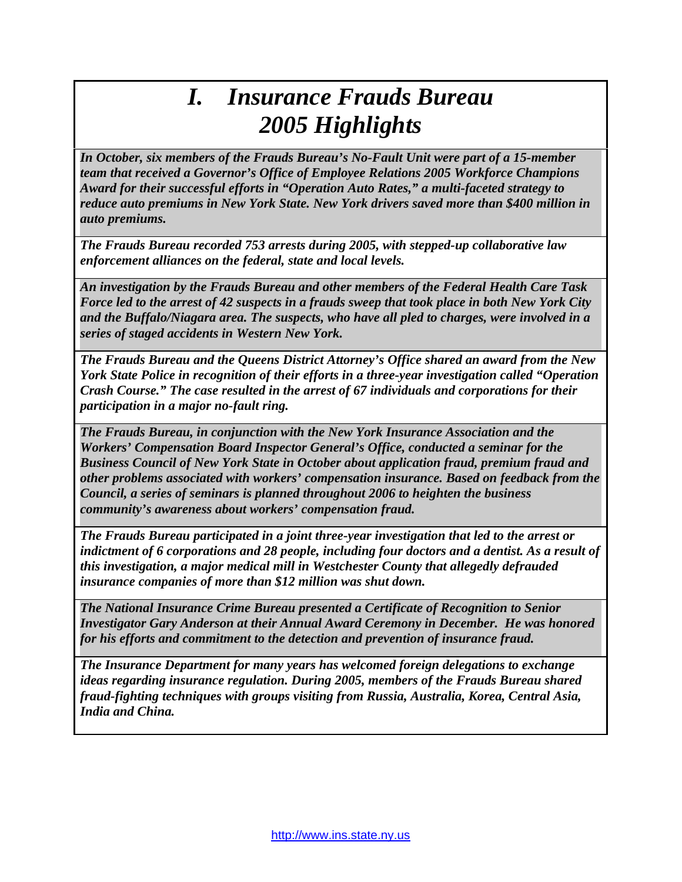# *I. Insurance Frauds Bureau 2005 Highlights*

*In October, six members of the Frauds Bureau's No-Fault Unit were part of a 15-member team that received a Governor's Office of Employee Relations 2005 Workforce Champions Award for their successful efforts in "Operation Auto Rates," a multi-faceted strategy to reduce auto premiums in New York State. New York drivers saved more than \$400 million in auto premiums.* 

*The Frauds Bureau recorded 753 arrests during 2005, with stepped-up collaborative law enforcement alliances on the federal, state and local levels.* 

*An investigation by the Frauds Bureau and other members of the Federal Health Care Task Force led to the arrest of 42 suspects in a frauds sweep that took place in both New York City and the Buffalo/Niagara area. The suspects, who have all pled to charges, were involved in a series of staged accidents in Western New York.* 

*The Frauds Bureau and the Queens District Attorney's Office shared an award from the New York State Police in recognition of their efforts in a three-year investigation called "Operation Crash Course." The case resulted in the arrest of 67 individuals and corporations for their participation in a major no-fault ring.* 

*The Frauds Bureau, in conjunction with the New York Insurance Association and the Workers' Compensation Board Inspector General's Office, conducted a seminar for the Business Council of New York State in October about application fraud, premium fraud and other problems associated with workers' compensation insurance. Based on feedback from the Council, a series of seminars is planned throughout 2006 to heighten the business community's awareness about workers' compensation fraud.* 

*The Frauds Bureau participated in a joint three-year investigation that led to the arrest or*  indictment of 6 corporations and 28 people, including four doctors and a dentist. As a result of *this investigation, a major medical mill in Westchester County that allegedly defrauded insurance companies of more than \$12 million was shut down.* 

*The National Insurance Crime Bureau presented a Certificate of Recognition to Senior Investigator Gary Anderson at their Annual Award Ceremony in December. He was honored for his efforts and commitment to the detection and prevention of insurance fraud.* 

*The Insurance Department for many years has welcomed foreign delegations to exchange ideas regarding insurance regulation. During 2005, members of the Frauds Bureau shared fraud-fighting techniques with groups visiting from Russia, Australia, Korea, Central Asia, India and China.*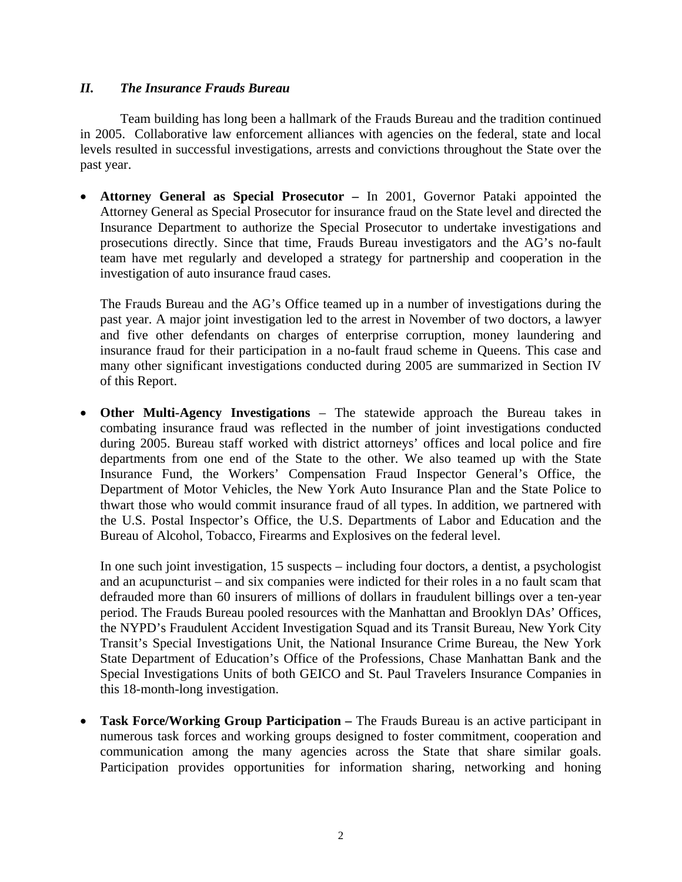## *II. The Insurance Frauds Bureau*

Team building has long been a hallmark of the Frauds Bureau and the tradition continued in 2005. Collaborative law enforcement alliances with agencies on the federal, state and local levels resulted in successful investigations, arrests and convictions throughout the State over the past year.

• **Attorney General as Special Prosecutor –** In 2001, Governor Pataki appointed the Attorney General as Special Prosecutor for insurance fraud on the State level and directed the Insurance Department to authorize the Special Prosecutor to undertake investigations and prosecutions directly. Since that time, Frauds Bureau investigators and the AG's no-fault team have met regularly and developed a strategy for partnership and cooperation in the investigation of auto insurance fraud cases.

The Frauds Bureau and the AG's Office teamed up in a number of investigations during the past year. A major joint investigation led to the arrest in November of two doctors, a lawyer and five other defendants on charges of enterprise corruption, money laundering and insurance fraud for their participation in a no-fault fraud scheme in Queens. This case and many other significant investigations conducted during 2005 are summarized in Section IV of this Report.

• **Other Multi-Agency Investigations** – The statewide approach the Bureau takes in combating insurance fraud was reflected in the number of joint investigations conducted during 2005. Bureau staff worked with district attorneys' offices and local police and fire departments from one end of the State to the other. We also teamed up with the State Insurance Fund, the Workers' Compensation Fraud Inspector General's Office, the Department of Motor Vehicles, the New York Auto Insurance Plan and the State Police to thwart those who would commit insurance fraud of all types. In addition, we partnered with the U.S. Postal Inspector's Office, the U.S. Departments of Labor and Education and the Bureau of Alcohol, Tobacco, Firearms and Explosives on the federal level.

In one such joint investigation, 15 suspects – including four doctors, a dentist, a psychologist and an acupuncturist – and six companies were indicted for their roles in a no fault scam that defrauded more than 60 insurers of millions of dollars in fraudulent billings over a ten-year period. The Frauds Bureau pooled resources with the Manhattan and Brooklyn DAs' Offices, the NYPD's Fraudulent Accident Investigation Squad and its Transit Bureau, New York City Transit's Special Investigations Unit, the National Insurance Crime Bureau, the New York State Department of Education's Office of the Professions, Chase Manhattan Bank and the Special Investigations Units of both GEICO and St. Paul Travelers Insurance Companies in this 18-month-long investigation.

• **Task Force/Working Group Participation** – The Frauds Bureau is an active participant in numerous task forces and working groups designed to foster commitment, cooperation and communication among the many agencies across the State that share similar goals. Participation provides opportunities for information sharing, networking and honing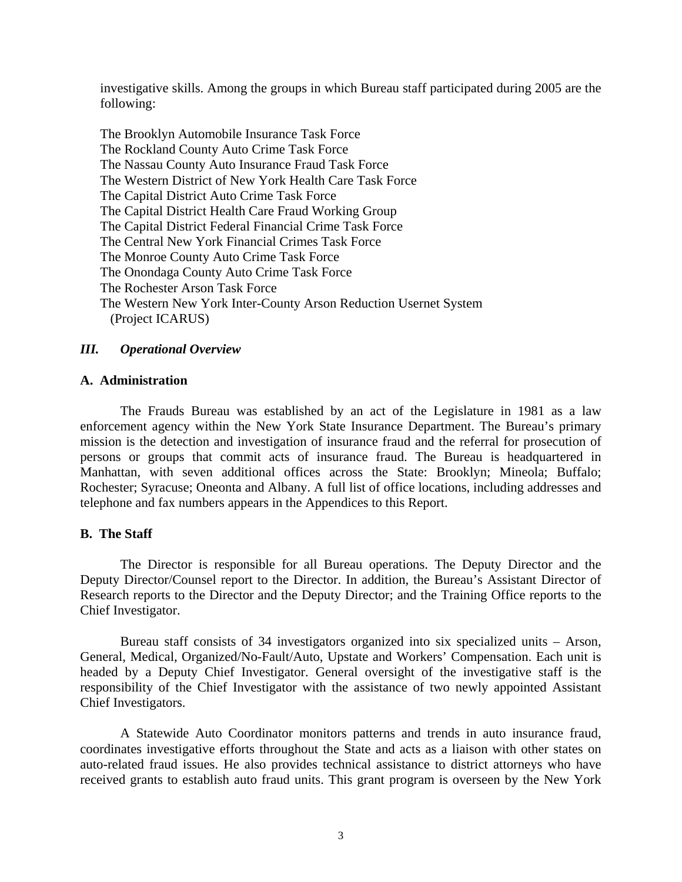investigative skills. Among the groups in which Bureau staff participated during 2005 are the following:

The Brooklyn Automobile Insurance Task Force The Rockland County Auto Crime Task Force The Nassau County Auto Insurance Fraud Task Force The Western District of New York Health Care Task Force The Capital District Auto Crime Task Force The Capital District Health Care Fraud Working Group The Capital District Federal Financial Crime Task Force The Central New York Financial Crimes Task Force The Monroe County Auto Crime Task Force The Onondaga County Auto Crime Task Force The Rochester Arson Task Force The Western New York Inter-County Arson Reduction Usernet System (Project ICARUS)

#### *III. Operational Overview*

#### **A. Administration**

The Frauds Bureau was established by an act of the Legislature in 1981 as a law enforcement agency within the New York State Insurance Department. The Bureau's primary mission is the detection and investigation of insurance fraud and the referral for prosecution of persons or groups that commit acts of insurance fraud. The Bureau is headquartered in Manhattan, with seven additional offices across the State: Brooklyn; Mineola; Buffalo; Rochester; Syracuse; Oneonta and Albany. A full list of office locations, including addresses and telephone and fax numbers appears in the Appendices to this Report.

#### **B. The Staff**

The Director is responsible for all Bureau operations. The Deputy Director and the Deputy Director/Counsel report to the Director. In addition, the Bureau's Assistant Director of Research reports to the Director and the Deputy Director; and the Training Office reports to the Chief Investigator.

Bureau staff consists of 34 investigators organized into six specialized units – Arson, General, Medical, Organized/No-Fault/Auto, Upstate and Workers' Compensation. Each unit is headed by a Deputy Chief Investigator. General oversight of the investigative staff is the responsibility of the Chief Investigator with the assistance of two newly appointed Assistant Chief Investigators.

A Statewide Auto Coordinator monitors patterns and trends in auto insurance fraud, coordinates investigative efforts throughout the State and acts as a liaison with other states on auto-related fraud issues. He also provides technical assistance to district attorneys who have received grants to establish auto fraud units. This grant program is overseen by the New York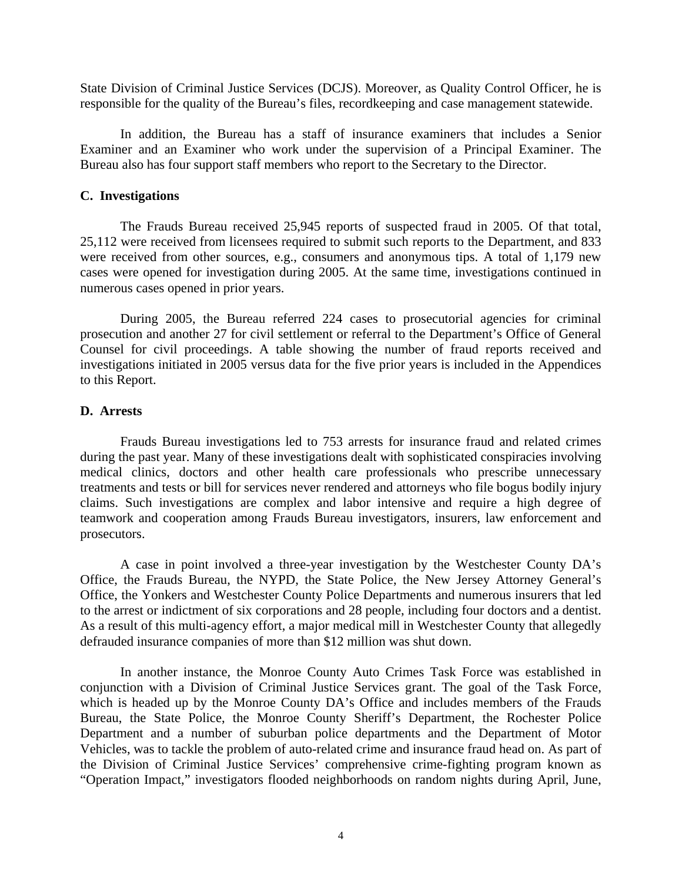State Division of Criminal Justice Services (DCJS). Moreover, as Quality Control Officer, he is responsible for the quality of the Bureau's files, recordkeeping and case management statewide.

In addition, the Bureau has a staff of insurance examiners that includes a Senior Examiner and an Examiner who work under the supervision of a Principal Examiner. The Bureau also has four support staff members who report to the Secretary to the Director.

#### **C. Investigations**

The Frauds Bureau received 25,945 reports of suspected fraud in 2005. Of that total, 25,112 were received from licensees required to submit such reports to the Department, and 833 were received from other sources, e.g., consumers and anonymous tips. A total of 1,179 new cases were opened for investigation during 2005. At the same time, investigations continued in numerous cases opened in prior years.

During 2005, the Bureau referred 224 cases to prosecutorial agencies for criminal prosecution and another 27 for civil settlement or referral to the Department's Office of General Counsel for civil proceedings. A table showing the number of fraud reports received and investigations initiated in 2005 versus data for the five prior years is included in the Appendices to this Report.

#### **D. Arrests**

Frauds Bureau investigations led to 753 arrests for insurance fraud and related crimes during the past year. Many of these investigations dealt with sophisticated conspiracies involving medical clinics, doctors and other health care professionals who prescribe unnecessary treatments and tests or bill for services never rendered and attorneys who file bogus bodily injury claims. Such investigations are complex and labor intensive and require a high degree of teamwork and cooperation among Frauds Bureau investigators, insurers, law enforcement and prosecutors.

A case in point involved a three-year investigation by the Westchester County DA's Office, the Frauds Bureau, the NYPD, the State Police, the New Jersey Attorney General's Office, the Yonkers and Westchester County Police Departments and numerous insurers that led to the arrest or indictment of six corporations and 28 people, including four doctors and a dentist. As a result of this multi-agency effort, a major medical mill in Westchester County that allegedly defrauded insurance companies of more than \$12 million was shut down.

In another instance, the Monroe County Auto Crimes Task Force was established in conjunction with a Division of Criminal Justice Services grant. The goal of the Task Force, which is headed up by the Monroe County DA's Office and includes members of the Frauds Bureau, the State Police, the Monroe County Sheriff's Department, the Rochester Police Department and a number of suburban police departments and the Department of Motor Vehicles, was to tackle the problem of auto-related crime and insurance fraud head on. As part of the Division of Criminal Justice Services' comprehensive crime-fighting program known as "Operation Impact," investigators flooded neighborhoods on random nights during April, June,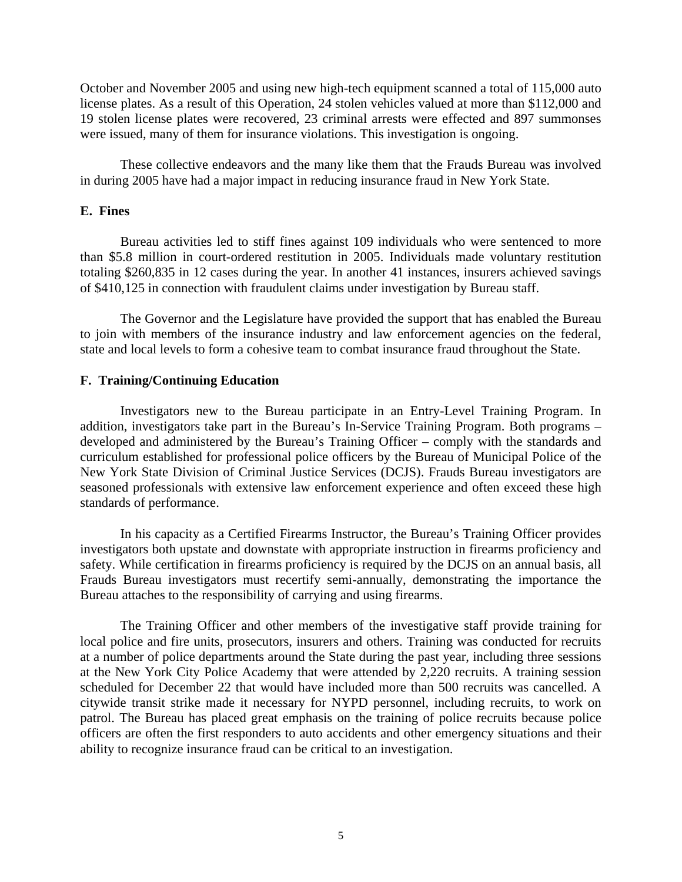October and November 2005 and using new high-tech equipment scanned a total of 115,000 auto license plates. As a result of this Operation, 24 stolen vehicles valued at more than \$112,000 and 19 stolen license plates were recovered, 23 criminal arrests were effected and 897 summonses were issued, many of them for insurance violations. This investigation is ongoing.

These collective endeavors and the many like them that the Frauds Bureau was involved in during 2005 have had a major impact in reducing insurance fraud in New York State.

#### **E. Fines**

Bureau activities led to stiff fines against 109 individuals who were sentenced to more than \$5.8 million in court-ordered restitution in 2005. Individuals made voluntary restitution totaling \$260,835 in 12 cases during the year. In another 41 instances, insurers achieved savings of \$410,125 in connection with fraudulent claims under investigation by Bureau staff.

The Governor and the Legislature have provided the support that has enabled the Bureau to join with members of the insurance industry and law enforcement agencies on the federal, state and local levels to form a cohesive team to combat insurance fraud throughout the State.

#### **F. Training/Continuing Education**

Investigators new to the Bureau participate in an Entry-Level Training Program. In addition, investigators take part in the Bureau's In-Service Training Program. Both programs – developed and administered by the Bureau's Training Officer – comply with the standards and curriculum established for professional police officers by the Bureau of Municipal Police of the New York State Division of Criminal Justice Services (DCJS). Frauds Bureau investigators are seasoned professionals with extensive law enforcement experience and often exceed these high standards of performance.

In his capacity as a Certified Firearms Instructor, the Bureau's Training Officer provides investigators both upstate and downstate with appropriate instruction in firearms proficiency and safety. While certification in firearms proficiency is required by the DCJS on an annual basis, all Frauds Bureau investigators must recertify semi-annually, demonstrating the importance the Bureau attaches to the responsibility of carrying and using firearms.

The Training Officer and other members of the investigative staff provide training for local police and fire units, prosecutors, insurers and others. Training was conducted for recruits at a number of police departments around the State during the past year, including three sessions at the New York City Police Academy that were attended by 2,220 recruits. A training session scheduled for December 22 that would have included more than 500 recruits was cancelled. A citywide transit strike made it necessary for NYPD personnel, including recruits, to work on patrol. The Bureau has placed great emphasis on the training of police recruits because police officers are often the first responders to auto accidents and other emergency situations and their ability to recognize insurance fraud can be critical to an investigation.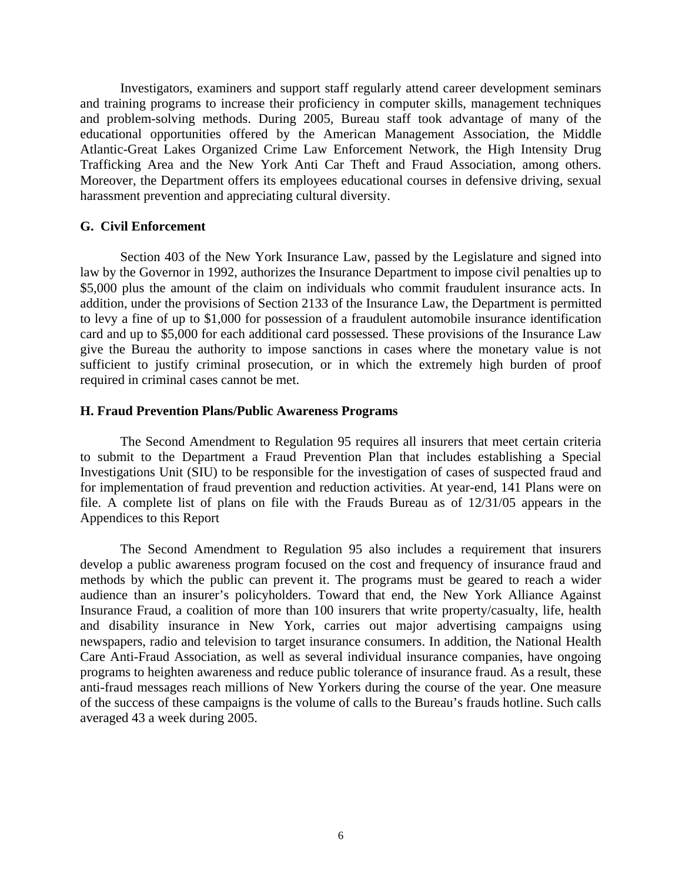Investigators, examiners and support staff regularly attend career development seminars and training programs to increase their proficiency in computer skills, management techniques and problem-solving methods. During 2005, Bureau staff took advantage of many of the educational opportunities offered by the American Management Association, the Middle Atlantic-Great Lakes Organized Crime Law Enforcement Network, the High Intensity Drug Trafficking Area and the New York Anti Car Theft and Fraud Association, among others. Moreover, the Department offers its employees educational courses in defensive driving, sexual harassment prevention and appreciating cultural diversity.

#### **G. Civil Enforcement**

Section 403 of the New York Insurance Law, passed by the Legislature and signed into law by the Governor in 1992, authorizes the Insurance Department to impose civil penalties up to \$5,000 plus the amount of the claim on individuals who commit fraudulent insurance acts. In addition, under the provisions of Section 2133 of the Insurance Law, the Department is permitted to levy a fine of up to \$1,000 for possession of a fraudulent automobile insurance identification card and up to \$5,000 for each additional card possessed. These provisions of the Insurance Law give the Bureau the authority to impose sanctions in cases where the monetary value is not sufficient to justify criminal prosecution, or in which the extremely high burden of proof required in criminal cases cannot be met.

#### **H. Fraud Prevention Plans/Public Awareness Programs**

The Second Amendment to Regulation 95 requires all insurers that meet certain criteria to submit to the Department a Fraud Prevention Plan that includes establishing a Special Investigations Unit (SIU) to be responsible for the investigation of cases of suspected fraud and for implementation of fraud prevention and reduction activities. At year-end, 141 Plans were on file. A complete list of plans on file with the Frauds Bureau as of 12/31/05 appears in the Appendices to this Report

The Second Amendment to Regulation 95 also includes a requirement that insurers develop a public awareness program focused on the cost and frequency of insurance fraud and methods by which the public can prevent it. The programs must be geared to reach a wider audience than an insurer's policyholders. Toward that end, the New York Alliance Against Insurance Fraud, a coalition of more than 100 insurers that write property/casualty, life, health and disability insurance in New York, carries out major advertising campaigns using newspapers, radio and television to target insurance consumers. In addition, the National Health Care Anti-Fraud Association, as well as several individual insurance companies, have ongoing programs to heighten awareness and reduce public tolerance of insurance fraud. As a result, these anti-fraud messages reach millions of New Yorkers during the course of the year. One measure of the success of these campaigns is the volume of calls to the Bureau's frauds hotline. Such calls averaged 43 a week during 2005.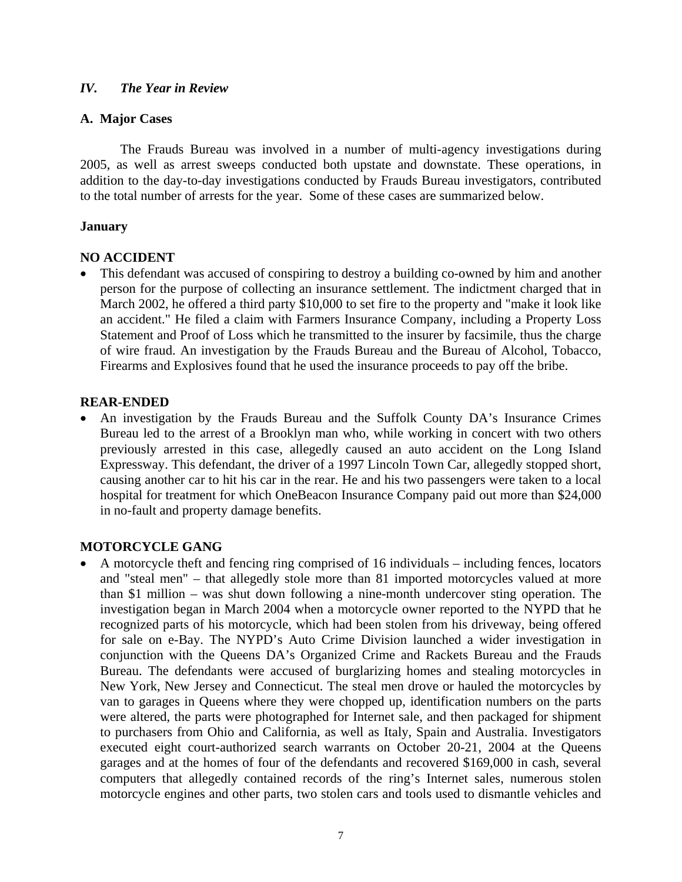## *IV. The Year in Review*

## **A. Major Cases**

The Frauds Bureau was involved in a number of multi-agency investigations during 2005, as well as arrest sweeps conducted both upstate and downstate. These operations, in addition to the day-to-day investigations conducted by Frauds Bureau investigators, contributed to the total number of arrests for the year. Some of these cases are summarized below.

## **January**

# **NO ACCIDENT**

• This defendant was accused of conspiring to destroy a building co-owned by him and another person for the purpose of collecting an insurance settlement. The indictment charged that in March 2002, he offered a third party \$10,000 to set fire to the property and "make it look like an accident." He filed a claim with Farmers Insurance Company, including a Property Loss Statement and Proof of Loss which he transmitted to the insurer by facsimile, thus the charge of wire fraud. An investigation by the Frauds Bureau and the Bureau of Alcohol, Tobacco, Firearms and Explosives found that he used the insurance proceeds to pay off the bribe.

## **REAR-ENDED**

• An investigation by the Frauds Bureau and the Suffolk County DA's Insurance Crimes Bureau led to the arrest of a Brooklyn man who, while working in concert with two others previously arrested in this case, allegedly caused an auto accident on the Long Island Expressway. This defendant, the driver of a 1997 Lincoln Town Car, allegedly stopped short, causing another car to hit his car in the rear. He and his two passengers were taken to a local hospital for treatment for which OneBeacon Insurance Company paid out more than \$24,000 in no-fault and property damage benefits.

# **MOTORCYCLE GANG**

• A motorcycle theft and fencing ring comprised of 16 individuals – including fences, locators and "steal men" – that allegedly stole more than 81 imported motorcycles valued at more than \$1 million – was shut down following a nine-month undercover sting operation. The investigation began in March 2004 when a motorcycle owner reported to the NYPD that he recognized parts of his motorcycle, which had been stolen from his driveway, being offered for sale on e-Bay. The NYPD's Auto Crime Division launched a wider investigation in conjunction with the Queens DA's Organized Crime and Rackets Bureau and the Frauds Bureau. The defendants were accused of burglarizing homes and stealing motorcycles in New York, New Jersey and Connecticut. The steal men drove or hauled the motorcycles by van to garages in Queens where they were chopped up, identification numbers on the parts were altered, the parts were photographed for Internet sale, and then packaged for shipment to purchasers from Ohio and California, as well as Italy, Spain and Australia. Investigators executed eight court-authorized search warrants on October 20-21, 2004 at the Queens garages and at the homes of four of the defendants and recovered \$169,000 in cash, several computers that allegedly contained records of the ring's Internet sales, numerous stolen motorcycle engines and other parts, two stolen cars and tools used to dismantle vehicles and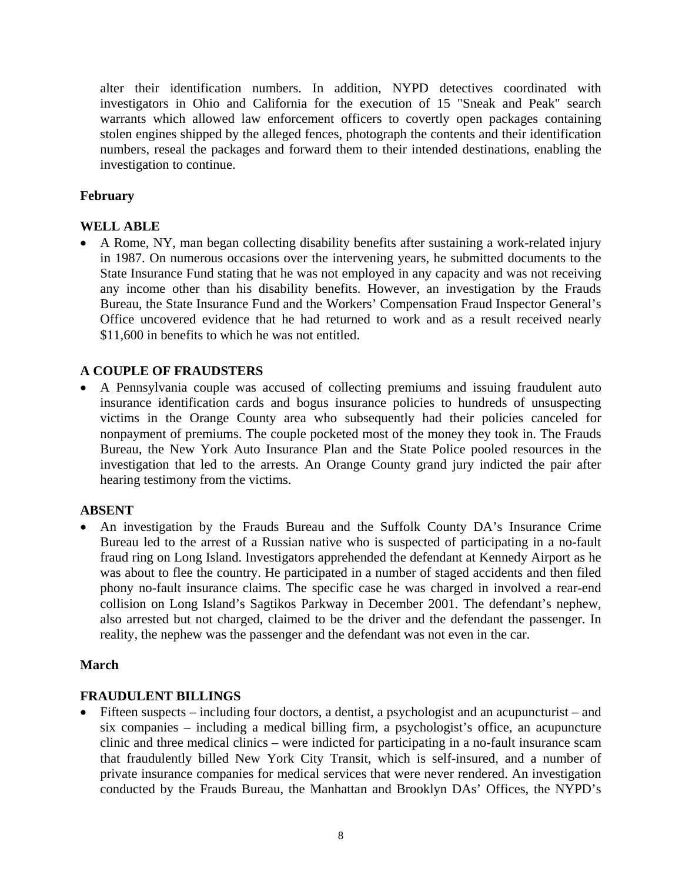alter their identification numbers. In addition, NYPD detectives coordinated with investigators in Ohio and California for the execution of 15 "Sneak and Peak" search warrants which allowed law enforcement officers to covertly open packages containing stolen engines shipped by the alleged fences, photograph the contents and their identification numbers, reseal the packages and forward them to their intended destinations, enabling the investigation to continue.

# **February**

# **WELL ABLE**

• A Rome, NY, man began collecting disability benefits after sustaining a work-related injury in 1987. On numerous occasions over the intervening years, he submitted documents to the State Insurance Fund stating that he was not employed in any capacity and was not receiving any income other than his disability benefits. However, an investigation by the Frauds Bureau, the State Insurance Fund and the Workers' Compensation Fraud Inspector General's Office uncovered evidence that he had returned to work and as a result received nearly \$11,600 in benefits to which he was not entitled.

# **A COUPLE OF FRAUDSTERS**

• A Pennsylvania couple was accused of collecting premiums and issuing fraudulent auto insurance identification cards and bogus insurance policies to hundreds of unsuspecting victims in the Orange County area who subsequently had their policies canceled for nonpayment of premiums. The couple pocketed most of the money they took in. The Frauds Bureau, the New York Auto Insurance Plan and the State Police pooled resources in the investigation that led to the arrests. An Orange County grand jury indicted the pair after hearing testimony from the victims.

# **ABSENT**

• An investigation by the Frauds Bureau and the Suffolk County DA's Insurance Crime Bureau led to the arrest of a Russian native who is suspected of participating in a no-fault fraud ring on Long Island. Investigators apprehended the defendant at Kennedy Airport as he was about to flee the country. He participated in a number of staged accidents and then filed phony no-fault insurance claims. The specific case he was charged in involved a rear-end collision on Long Island's Sagtikos Parkway in December 2001. The defendant's nephew, also arrested but not charged, claimed to be the driver and the defendant the passenger. In reality, the nephew was the passenger and the defendant was not even in the car.

# **March**

# **FRAUDULENT BILLINGS**

• Fifteen suspects – including four doctors, a dentist, a psychologist and an acupuncturist – and six companies – including a medical billing firm, a psychologist's office, an acupuncture clinic and three medical clinics – were indicted for participating in a no-fault insurance scam that fraudulently billed New York City Transit, which is self-insured, and a number of private insurance companies for medical services that were never rendered. An investigation conducted by the Frauds Bureau, the Manhattan and Brooklyn DAs' Offices, the NYPD's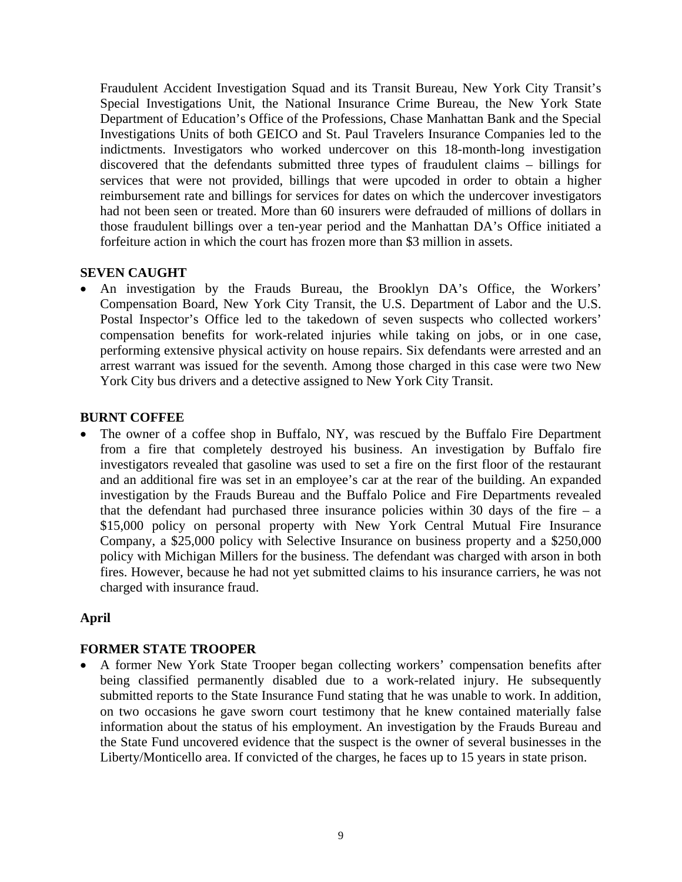Fraudulent Accident Investigation Squad and its Transit Bureau, New York City Transit's Special Investigations Unit, the National Insurance Crime Bureau, the New York State Department of Education's Office of the Professions, Chase Manhattan Bank and the Special Investigations Units of both GEICO and St. Paul Travelers Insurance Companies led to the indictments. Investigators who worked undercover on this 18-month-long investigation discovered that the defendants submitted three types of fraudulent claims – billings for services that were not provided, billings that were upcoded in order to obtain a higher reimbursement rate and billings for services for dates on which the undercover investigators had not been seen or treated. More than 60 insurers were defrauded of millions of dollars in those fraudulent billings over a ten-year period and the Manhattan DA's Office initiated a forfeiture action in which the court has frozen more than \$3 million in assets.

# **SEVEN CAUGHT**

• An investigation by the Frauds Bureau, the Brooklyn DA's Office, the Workers' Compensation Board, New York City Transit, the U.S. Department of Labor and the U.S. Postal Inspector's Office led to the takedown of seven suspects who collected workers' compensation benefits for work-related injuries while taking on jobs, or in one case, performing extensive physical activity on house repairs. Six defendants were arrested and an arrest warrant was issued for the seventh. Among those charged in this case were two New York City bus drivers and a detective assigned to New York City Transit.

## **BURNT COFFEE**

The owner of a coffee shop in Buffalo, NY, was rescued by the Buffalo Fire Department from a fire that completely destroyed his business. An investigation by Buffalo fire investigators revealed that gasoline was used to set a fire on the first floor of the restaurant and an additional fire was set in an employee's car at the rear of the building. An expanded investigation by the Frauds Bureau and the Buffalo Police and Fire Departments revealed that the defendant had purchased three insurance policies within 30 days of the fire  $-$  a \$15,000 policy on personal property with New York Central Mutual Fire Insurance Company, a \$25,000 policy with Selective Insurance on business property and a \$250,000 policy with Michigan Millers for the business. The defendant was charged with arson in both fires. However, because he had not yet submitted claims to his insurance carriers, he was not charged with insurance fraud.

# **April**

# **FORMER STATE TROOPER**

• A former New York State Trooper began collecting workers' compensation benefits after being classified permanently disabled due to a work-related injury. He subsequently submitted reports to the State Insurance Fund stating that he was unable to work. In addition, on two occasions he gave sworn court testimony that he knew contained materially false information about the status of his employment. An investigation by the Frauds Bureau and the State Fund uncovered evidence that the suspect is the owner of several businesses in the Liberty/Monticello area. If convicted of the charges, he faces up to 15 years in state prison.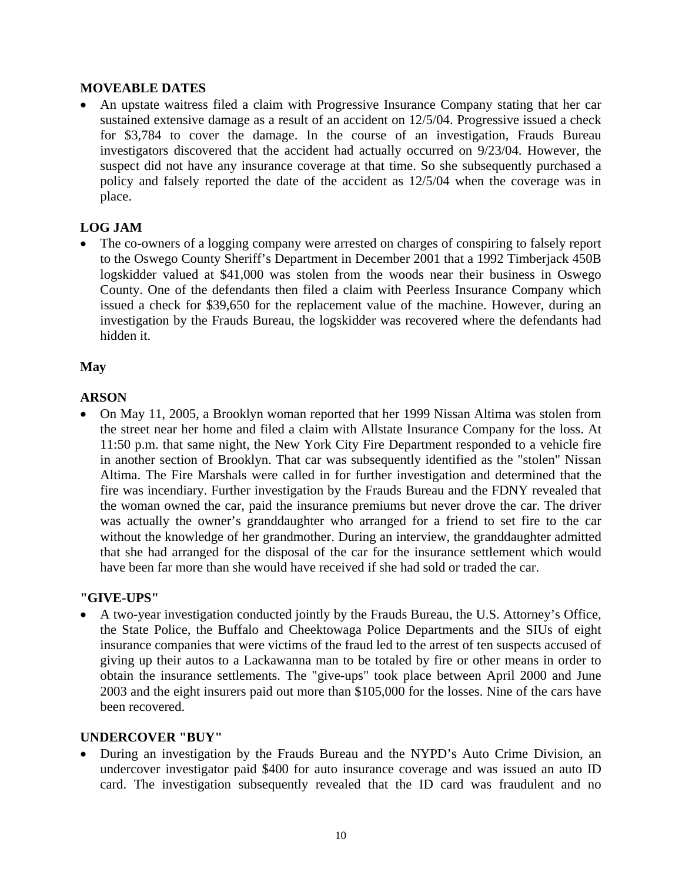## **MOVEABLE DATES**

• An upstate waitress filed a claim with Progressive Insurance Company stating that her car sustained extensive damage as a result of an accident on 12/5/04. Progressive issued a check for \$3,784 to cover the damage. In the course of an investigation, Frauds Bureau investigators discovered that the accident had actually occurred on 9/23/04. However, the suspect did not have any insurance coverage at that time. So she subsequently purchased a policy and falsely reported the date of the accident as 12/5/04 when the coverage was in place.

# **LOG JAM**

• The co-owners of a logging company were arrested on charges of conspiring to falsely report to the Oswego County Sheriff's Department in December 2001 that a 1992 Timberjack 450B logskidder valued at \$41,000 was stolen from the woods near their business in Oswego County. One of the defendants then filed a claim with Peerless Insurance Company which issued a check for \$39,650 for the replacement value of the machine. However, during an investigation by the Frauds Bureau, the logskidder was recovered where the defendants had hidden it.

# **May**

# **ARSON**

• On May 11, 2005, a Brooklyn woman reported that her 1999 Nissan Altima was stolen from the street near her home and filed a claim with Allstate Insurance Company for the loss. At 11:50 p.m. that same night, the New York City Fire Department responded to a vehicle fire in another section of Brooklyn. That car was subsequently identified as the "stolen" Nissan Altima. The Fire Marshals were called in for further investigation and determined that the fire was incendiary. Further investigation by the Frauds Bureau and the FDNY revealed that the woman owned the car, paid the insurance premiums but never drove the car. The driver was actually the owner's granddaughter who arranged for a friend to set fire to the car without the knowledge of her grandmother. During an interview, the granddaughter admitted that she had arranged for the disposal of the car for the insurance settlement which would have been far more than she would have received if she had sold or traded the car.

## **"GIVE-UPS"**

• A two-year investigation conducted jointly by the Frauds Bureau, the U.S. Attorney's Office, the State Police, the Buffalo and Cheektowaga Police Departments and the SIUs of eight insurance companies that were victims of the fraud led to the arrest of ten suspects accused of giving up their autos to a Lackawanna man to be totaled by fire or other means in order to obtain the insurance settlements. The "give-ups" took place between April 2000 and June 2003 and the eight insurers paid out more than \$105,000 for the losses. Nine of the cars have been recovered.

## **UNDERCOVER "BUY"**

• During an investigation by the Frauds Bureau and the NYPD's Auto Crime Division, an undercover investigator paid \$400 for auto insurance coverage and was issued an auto ID card. The investigation subsequently revealed that the ID card was fraudulent and no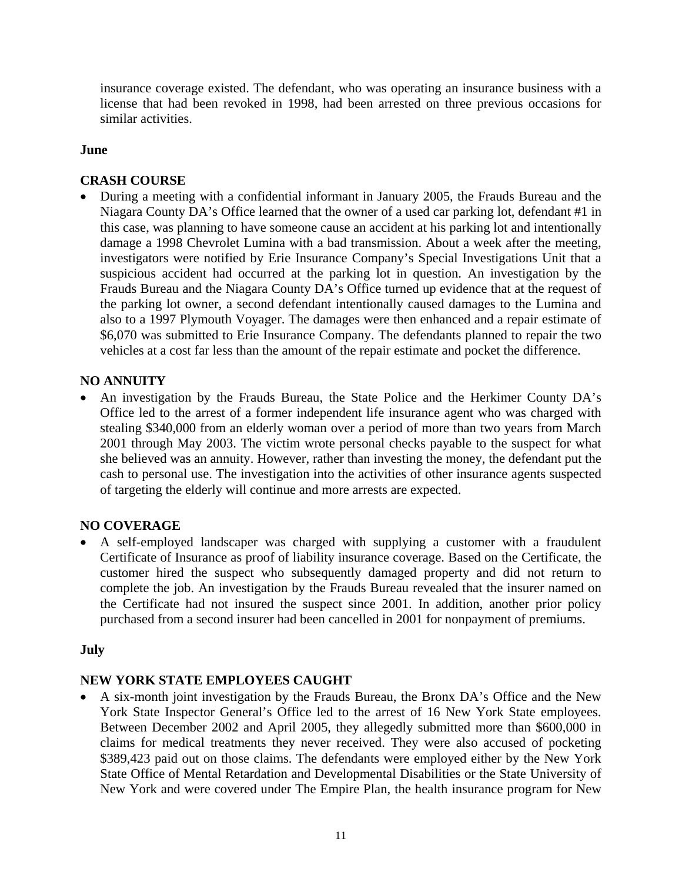insurance coverage existed. The defendant, who was operating an insurance business with a license that had been revoked in 1998, had been arrested on three previous occasions for similar activities.

# **June**

# **CRASH COURSE**

• During a meeting with a confidential informant in January 2005, the Frauds Bureau and the Niagara County DA's Office learned that the owner of a used car parking lot, defendant #1 in this case, was planning to have someone cause an accident at his parking lot and intentionally damage a 1998 Chevrolet Lumina with a bad transmission. About a week after the meeting, investigators were notified by Erie Insurance Company's Special Investigations Unit that a suspicious accident had occurred at the parking lot in question. An investigation by the Frauds Bureau and the Niagara County DA's Office turned up evidence that at the request of the parking lot owner, a second defendant intentionally caused damages to the Lumina and also to a 1997 Plymouth Voyager. The damages were then enhanced and a repair estimate of \$6,070 was submitted to Erie Insurance Company. The defendants planned to repair the two vehicles at a cost far less than the amount of the repair estimate and pocket the difference.

## **NO ANNUITY**

• An investigation by the Frauds Bureau, the State Police and the Herkimer County DA's Office led to the arrest of a former independent life insurance agent who was charged with stealing \$340,000 from an elderly woman over a period of more than two years from March 2001 through May 2003. The victim wrote personal checks payable to the suspect for what she believed was an annuity. However, rather than investing the money, the defendant put the cash to personal use. The investigation into the activities of other insurance agents suspected of targeting the elderly will continue and more arrests are expected.

# **NO COVERAGE**

• A self-employed landscaper was charged with supplying a customer with a fraudulent Certificate of Insurance as proof of liability insurance coverage. Based on the Certificate, the customer hired the suspect who subsequently damaged property and did not return to complete the job. An investigation by the Frauds Bureau revealed that the insurer named on the Certificate had not insured the suspect since 2001. In addition, another prior policy purchased from a second insurer had been cancelled in 2001 for nonpayment of premiums.

## **July**

# **NEW YORK STATE EMPLOYEES CAUGHT**

• A six-month joint investigation by the Frauds Bureau, the Bronx DA's Office and the New York State Inspector General's Office led to the arrest of 16 New York State employees. Between December 2002 and April 2005, they allegedly submitted more than \$600,000 in claims for medical treatments they never received. They were also accused of pocketing \$389,423 paid out on those claims. The defendants were employed either by the New York State Office of Mental Retardation and Developmental Disabilities or the State University of New York and were covered under The Empire Plan, the health insurance program for New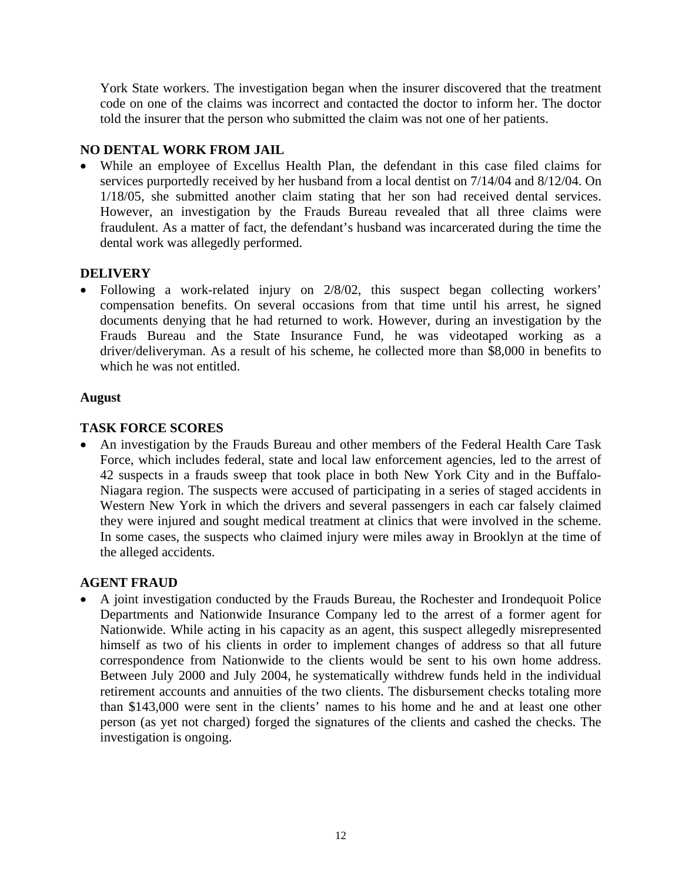York State workers. The investigation began when the insurer discovered that the treatment code on one of the claims was incorrect and contacted the doctor to inform her. The doctor told the insurer that the person who submitted the claim was not one of her patients.

# **NO DENTAL WORK FROM JAIL**

• While an employee of Excellus Health Plan, the defendant in this case filed claims for services purportedly received by her husband from a local dentist on 7/14/04 and 8/12/04. On 1/18/05, she submitted another claim stating that her son had received dental services. However, an investigation by the Frauds Bureau revealed that all three claims were fraudulent. As a matter of fact, the defendant's husband was incarcerated during the time the dental work was allegedly performed.

# **DELIVERY**

• Following a work-related injury on 2/8/02, this suspect began collecting workers' compensation benefits. On several occasions from that time until his arrest, he signed documents denying that he had returned to work. However, during an investigation by the Frauds Bureau and the State Insurance Fund, he was videotaped working as a driver/deliveryman. As a result of his scheme, he collected more than \$8,000 in benefits to which he was not entitled.

# **August**

# **TASK FORCE SCORES**

• An investigation by the Frauds Bureau and other members of the Federal Health Care Task Force, which includes federal, state and local law enforcement agencies, led to the arrest of 42 suspects in a frauds sweep that took place in both New York City and in the Buffalo-Niagara region. The suspects were accused of participating in a series of staged accidents in Western New York in which the drivers and several passengers in each car falsely claimed they were injured and sought medical treatment at clinics that were involved in the scheme. In some cases, the suspects who claimed injury were miles away in Brooklyn at the time of the alleged accidents.

# **AGENT FRAUD**

• A joint investigation conducted by the Frauds Bureau, the Rochester and Irondequoit Police Departments and Nationwide Insurance Company led to the arrest of a former agent for Nationwide. While acting in his capacity as an agent, this suspect allegedly misrepresented himself as two of his clients in order to implement changes of address so that all future correspondence from Nationwide to the clients would be sent to his own home address. Between July 2000 and July 2004, he systematically withdrew funds held in the individual retirement accounts and annuities of the two clients. The disbursement checks totaling more than \$143,000 were sent in the clients' names to his home and he and at least one other person (as yet not charged) forged the signatures of the clients and cashed the checks. The investigation is ongoing.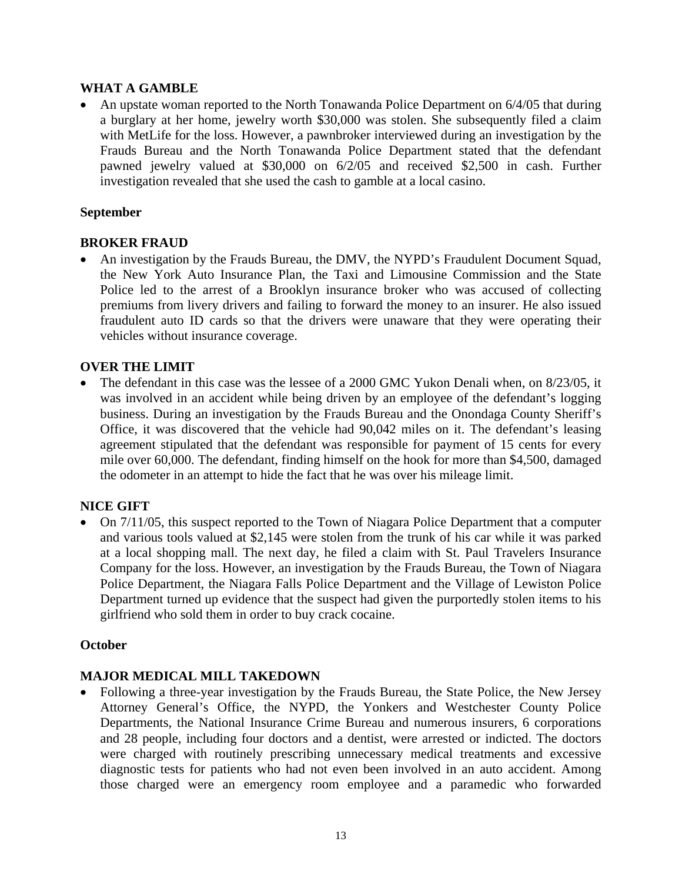## **WHAT A GAMBLE**

 investigation revealed that she used the cash to gamble at a local casino. • An upstate woman reported to the North Tonawanda Police Department on 6/4/05 that during a burglary at her home, jewelry worth \$30,000 was stolen. She subsequently filed a claim with MetLife for the loss. However, a pawnbroker interviewed during an investigation by the Frauds Bureau and the North Tonawanda Police Department stated that the defendant pawned jewelry valued at \$30,000 on 6/2/05 and received \$2,500 in cash. Further

## **September**

## **BROKER FRAUD**

• An investigation by the Frauds Bureau, the DMV, the NYPD's Fraudulent Document Squad, the New York Auto Insurance Plan, the Taxi and Limousine Commission and the State Police led to the arrest of a Brooklyn insurance broker who was accused of collecting premiums from livery drivers and failing to forward the money to an insurer. He also issued fraudulent auto ID cards so that the drivers were unaware that they were operating their vehicles without insurance coverage.

## **OVER THE LIMIT**

• The defendant in this case was the lessee of a 2000 GMC Yukon Denali when, on 8/23/05, it was involved in an accident while being driven by an employee of the defendant's logging business. During an investigation by the Frauds Bureau and the Onondaga County Sheriff's Office, it was discovered that the vehicle had 90,042 miles on it. The defendant's leasing agreement stipulated that the defendant was responsible for payment of 15 cents for every mile over 60,000. The defendant, finding himself on the hook for more than \$4,500, damaged the odometer in an attempt to hide the fact that he was over his mileage limit.

# **NICE GIFT**

• On  $7/11/05$ , this suspect reported to the Town of Niagara Police Department that a computer and various tools valued at \$2,145 were stolen from the trunk of his car while it was parked at a local shopping mall. The next day, he filed a claim with St. Paul Travelers Insurance Company for the loss. However, an investigation by the Frauds Bureau, the Town of Niagara Police Department, the Niagara Falls Police Department and the Village of Lewiston Police Department turned up evidence that the suspect had given the purportedly stolen items to his girlfriend who sold them in order to buy crack cocaine.

## **October**

## **MAJOR MEDICAL MILL TAKEDOWN**

• Following a three-year investigation by the Frauds Bureau, the State Police, the New Jersey Attorney General's Office, the NYPD, the Yonkers and Westchester County Police Departments, the National Insurance Crime Bureau and numerous insurers, 6 corporations and 28 people, including four doctors and a dentist, were arrested or indicted. The doctors were charged with routinely prescribing unnecessary medical treatments and excessive diagnostic tests for patients who had not even been involved in an auto accident. Among those charged were an emergency room employee and a paramedic who forwarded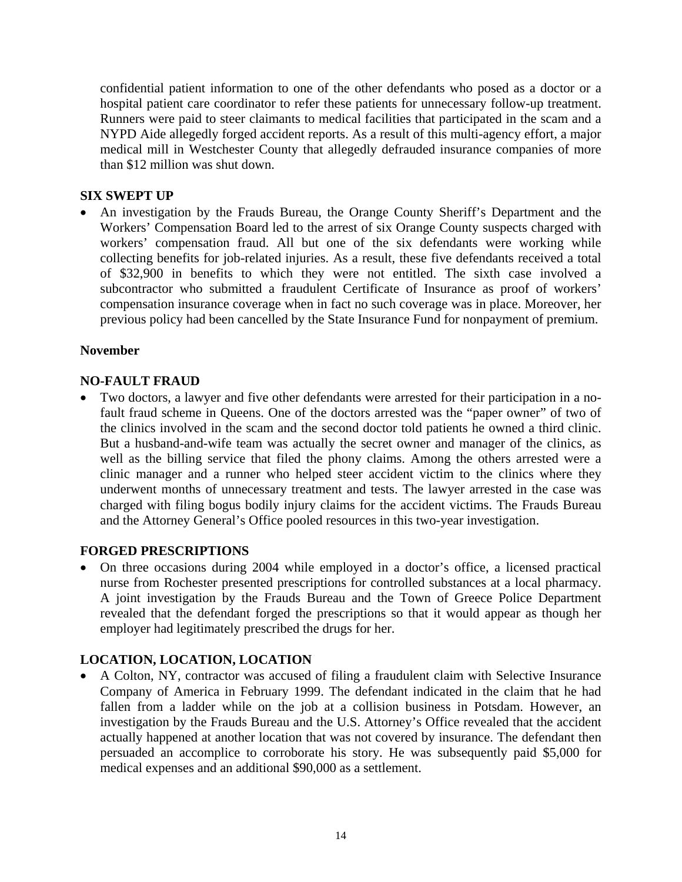confidential patient information to one of the other defendants who posed as a doctor or a hospital patient care coordinator to refer these patients for unnecessary follow-up treatment. Runners were paid to steer claimants to medical facilities that participated in the scam and a NYPD Aide allegedly forged accident reports. As a result of this multi-agency effort, a major medical mill in Westchester County that allegedly defrauded insurance companies of more than \$12 million was shut down.

## **SIX SWEPT UP**

• An investigation by the Frauds Bureau, the Orange County Sheriff's Department and the Workers' Compensation Board led to the arrest of six Orange County suspects charged with workers' compensation fraud. All but one of the six defendants were working while collecting benefits for job-related injuries. As a result, these five defendants received a total of \$32,900 in benefits to which they were not entitled. The sixth case involved a subcontractor who submitted a fraudulent Certificate of Insurance as proof of workers' compensation insurance coverage when in fact no such coverage was in place. Moreover, her previous policy had been cancelled by the State Insurance Fund for nonpayment of premium.

## **November**

## **NO-FAULT FRAUD**

• Two doctors, a lawyer and five other defendants were arrested for their participation in a nofault fraud scheme in Queens. One of the doctors arrested was the "paper owner" of two of the clinics involved in the scam and the second doctor told patients he owned a third clinic. But a husband-and-wife team was actually the secret owner and manager of the clinics, as well as the billing service that filed the phony claims. Among the others arrested were a clinic manager and a runner who helped steer accident victim to the clinics where they underwent months of unnecessary treatment and tests. The lawyer arrested in the case was charged with filing bogus bodily injury claims for the accident victims. The Frauds Bureau and the Attorney General's Office pooled resources in this two-year investigation.

## **FORGED PRESCRIPTIONS**

• On three occasions during 2004 while employed in a doctor's office, a licensed practical nurse from Rochester presented prescriptions for controlled substances at a local pharmacy. A joint investigation by the Frauds Bureau and the Town of Greece Police Department revealed that the defendant forged the prescriptions so that it would appear as though her employer had legitimately prescribed the drugs for her.

# **LOCATION, LOCATION, LOCATION**

• A Colton, NY, contractor was accused of filing a fraudulent claim with Selective Insurance Company of America in February 1999. The defendant indicated in the claim that he had fallen from a ladder while on the job at a collision business in Potsdam. However, an investigation by the Frauds Bureau and the U.S. Attorney's Office revealed that the accident actually happened at another location that was not covered by insurance. The defendant then persuaded an accomplice to corroborate his story. He was subsequently paid \$5,000 for medical expenses and an additional \$90,000 as a settlement.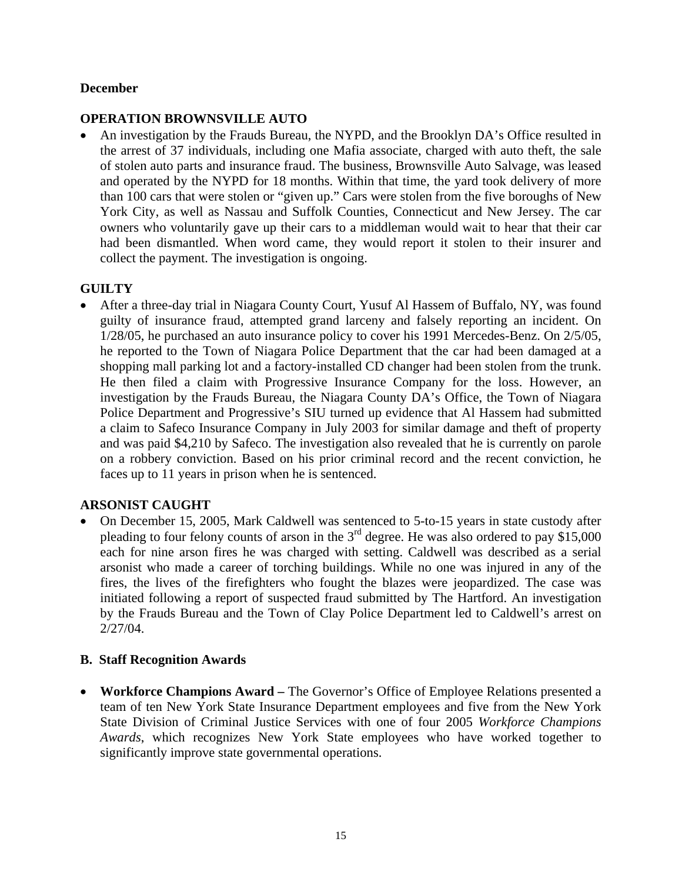## **December**

## **OPERATION BROWNSVILLE AUTO**

• An investigation by the Frauds Bureau, the NYPD, and the Brooklyn DA's Office resulted in the arrest of 37 individuals, including one Mafia associate, charged with auto theft, the sale of stolen auto parts and insurance fraud. The business, Brownsville Auto Salvage, was leased and operated by the NYPD for 18 months. Within that time, the yard took delivery of more than 100 cars that were stolen or "given up." Cars were stolen from the five boroughs of New York City, as well as Nassau and Suffolk Counties, Connecticut and New Jersey. The car owners who voluntarily gave up their cars to a middleman would wait to hear that their car had been dismantled. When word came, they would report it stolen to their insurer and collect the payment. The investigation is ongoing.

# **GUILTY**

• After a three-day trial in Niagara County Court, Yusuf Al Hassem of Buffalo, NY, was found guilty of insurance fraud, attempted grand larceny and falsely reporting an incident. On 1/28/05, he purchased an auto insurance policy to cover his 1991 Mercedes-Benz. On 2/5/05, he reported to the Town of Niagara Police Department that the car had been damaged at a shopping mall parking lot and a factory-installed CD changer had been stolen from the trunk. He then filed a claim with Progressive Insurance Company for the loss. However, an investigation by the Frauds Bureau, the Niagara County DA's Office, the Town of Niagara Police Department and Progressive's SIU turned up evidence that Al Hassem had submitted a claim to Safeco Insurance Company in July 2003 for similar damage and theft of property and was paid \$4,210 by Safeco. The investigation also revealed that he is currently on parole on a robbery conviction. Based on his prior criminal record and the recent conviction, he faces up to 11 years in prison when he is sentenced.

# **ARSONIST CAUGHT**

• On December 15, 2005, Mark Caldwell was sentenced to 5-to-15 years in state custody after pleading to four felony counts of arson in the  $3<sup>rd</sup>$  degree. He was also ordered to pay \$15,000 each for nine arson fires he was charged with setting. Caldwell was described as a serial arsonist who made a career of torching buildings. While no one was injured in any of the fires, the lives of the firefighters who fought the blazes were jeopardized. The case was initiated following a report of suspected fraud submitted by The Hartford. An investigation by the Frauds Bureau and the Town of Clay Police Department led to Caldwell's arrest on 2/27/04.

# **B. Staff Recognition Awards**

• **Workforce Champions Award –** The Governor's Office of Employee Relations presented a team of ten New York State Insurance Department employees and five from the New York State Division of Criminal Justice Services with one of four 2005 *Workforce Champions Awards*, which recognizes New York State employees who have worked together to significantly improve state governmental operations.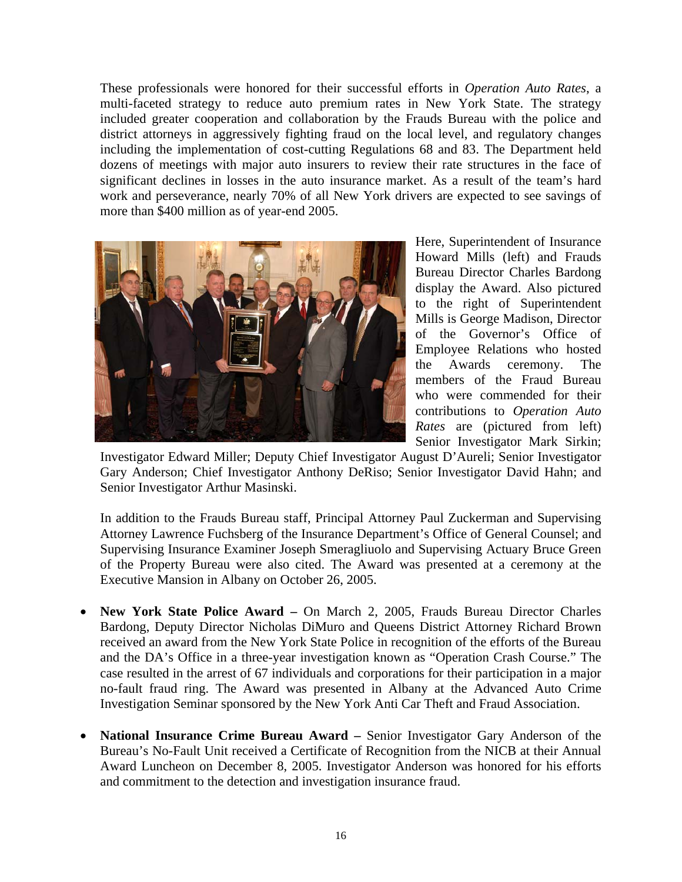These professionals were honored for their successful efforts in *Operation Auto Rates*, a multi-faceted strategy to reduce auto premium rates in New York State. The strategy included greater cooperation and collaboration by the Frauds Bureau with the police and district attorneys in aggressively fighting fraud on the local level, and regulatory changes including the implementation of cost-cutting Regulations 68 and 83. The Department held dozens of meetings with major auto insurers to review their rate structures in the face of significant declines in losses in the auto insurance market. As a result of the team's hard work and perseverance, nearly 70% of all New York drivers are expected to see savings of more than \$400 million as of year-end 2005.



Here, Superintendent of Insurance Howard Mills (left) and Frauds Bureau Director Charles Bardong display the Award. Also pictured to the right of Superintendent Mills is George Madison, Director of the Governor's Office of Employee Relations who hosted the Awards ceremony. The members of the Fraud Bureau who were commended for their contributions to *Operation Auto Rates* are (pictured from left) Senior Investigator Mark Sirkin;

Investigator Edward Miller; Deputy Chief Investigator August D'Aureli; Senior Investigator Gary Anderson; Chief Investigator Anthony DeRiso; Senior Investigator David Hahn; and Senior Investigator Arthur Masinski.

In addition to the Frauds Bureau staff, Principal Attorney Paul Zuckerman and Supervising Attorney Lawrence Fuchsberg of the Insurance Department's Office of General Counsel; and Supervising Insurance Examiner Joseph Smeragliuolo and Supervising Actuary Bruce Green of the Property Bureau were also cited. The Award was presented at a ceremony at the Executive Mansion in Albany on October 26, 2005.

- **New York State Police Award** On March 2, 2005, Frauds Bureau Director Charles Bardong, Deputy Director Nicholas DiMuro and Queens District Attorney Richard Brown received an award from the New York State Police in recognition of the efforts of the Bureau and the DA's Office in a three-year investigation known as "Operation Crash Course." The case resulted in the arrest of 67 individuals and corporations for their participation in a major no-fault fraud ring. The Award was presented in Albany at the Advanced Auto Crime Investigation Seminar sponsored by the New York Anti Car Theft and Fraud Association.
- **National Insurance Crime Bureau Award** Senior Investigator Gary Anderson of the Bureau's No-Fault Unit received a Certificate of Recognition from the NICB at their Annual Award Luncheon on December 8, 2005. Investigator Anderson was honored for his efforts and commitment to the detection and investigation insurance fraud.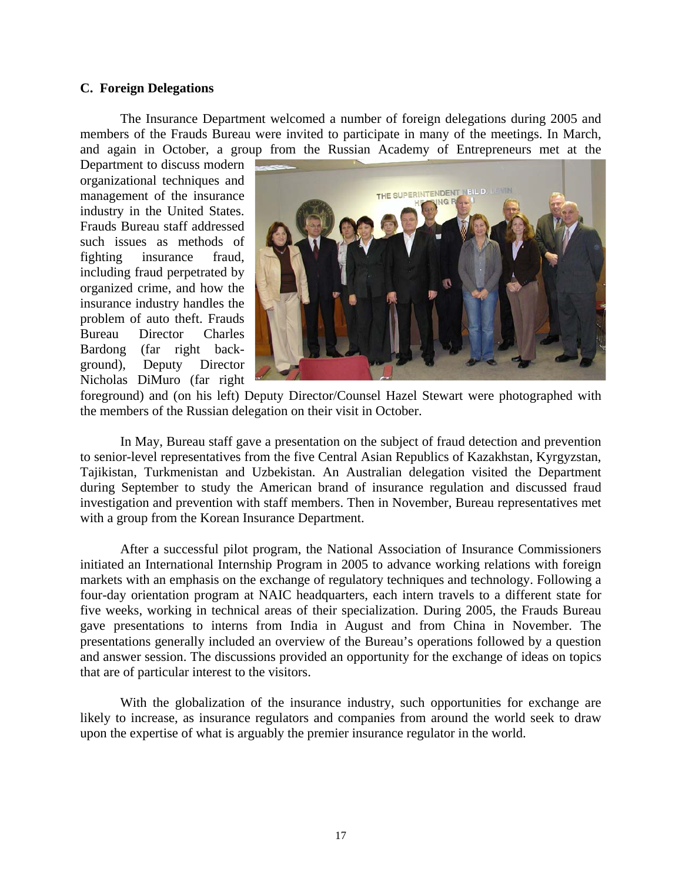#### **C. Foreign Delegations**

The Insurance Department welcomed a number of foreign delegations during 2005 and members of the Frauds Bureau were invited to participate in many of the meetings. In March, and again in October, a group from the Russian Academy of Entrepreneurs met at the

Department to discuss modern organizational techniques and management of the insurance industry in the United States. Frauds Bureau staff addressed such issues as methods of fighting insurance fraud, including fraud perpetrated by organized crime, and how the insurance industry handles the problem of auto theft. Frauds Bureau Director Charles Bardong (far right background), Deputy Director Nicholas DiMuro (far right



foreground) and (on his left) Deputy Director/Counsel Hazel Stewart were photographed with the members of the Russian delegation on their visit in October.

In May, Bureau staff gave a presentation on the subject of fraud detection and prevention to senior-level representatives from the five Central Asian Republics of Kazakhstan, Kyrgyzstan, Tajikistan, Turkmenistan and Uzbekistan. An Australian delegation visited the Department during September to study the American brand of insurance regulation and discussed fraud investigation and prevention with staff members. Then in November, Bureau representatives met with a group from the Korean Insurance Department.

After a successful pilot program, the National Association of Insurance Commissioners initiated an International Internship Program in 2005 to advance working relations with foreign markets with an emphasis on the exchange of regulatory techniques and technology. Following a four-day orientation program at NAIC headquarters, each intern travels to a different state for five weeks, working in technical areas of their specialization. During 2005, the Frauds Bureau gave presentations to interns from India in August and from China in November. The presentations generally included an overview of the Bureau's operations followed by a question and answer session. The discussions provided an opportunity for the exchange of ideas on topics that are of particular interest to the visitors.

With the globalization of the insurance industry, such opportunities for exchange are likely to increase, as insurance regulators and companies from around the world seek to draw upon the expertise of what is arguably the premier insurance regulator in the world.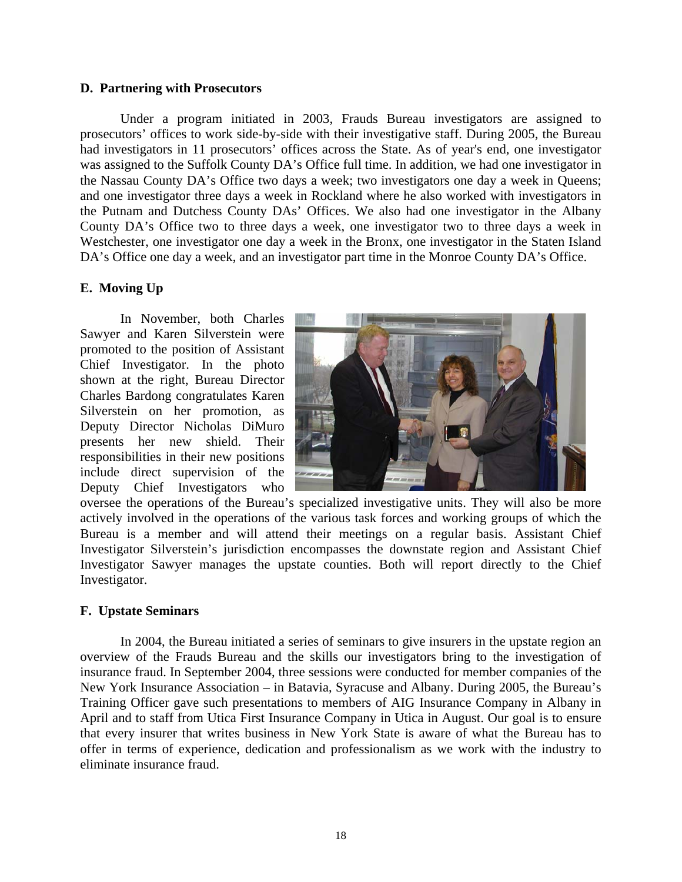#### **D. Partnering with Prosecutors**

Under a program initiated in 2003, Frauds Bureau investigators are assigned to prosecutors' offices to work side-by-side with their investigative staff. During 2005, the Bureau had investigators in 11 prosecutors' offices across the State. As of year's end, one investigator was assigned to the Suffolk County DA's Office full time. In addition, we had one investigator in the Nassau County DA's Office two days a week; two investigators one day a week in Queens; and one investigator three days a week in Rockland where he also worked with investigators in the Putnam and Dutchess County DAs' Offices. We also had one investigator in the Albany County DA's Office two to three days a week, one investigator two to three days a week in Westchester, one investigator one day a week in the Bronx, one investigator in the Staten Island DA's Office one day a week, and an investigator part time in the Monroe County DA's Office.

## **E. Moving Up**

In November, both Charles Sawyer and Karen Silverstein were promoted to the position of Assistant Chief Investigator. In the photo shown at the right, Bureau Director Charles Bardong congratulates Karen Silverstein on her promotion, as Deputy Director Nicholas DiMuro presents her new shield. Their responsibilities in their new positions include direct supervision of the Deputy Chief Investigators who



oversee the operations of the Bureau's specialized investigative units. They will also be more actively involved in the operations of the various task forces and working groups of which the Bureau is a member and will attend their meetings on a regular basis. Assistant Chief Investigator Silverstein's jurisdiction encompasses the downstate region and Assistant Chief Investigator Sawyer manages the upstate counties. Both will report directly to the Chief Investigator.

## **F. Upstate Seminars**

In 2004, the Bureau initiated a series of seminars to give insurers in the upstate region an overview of the Frauds Bureau and the skills our investigators bring to the investigation of insurance fraud. In September 2004, three sessions were conducted for member companies of the New York Insurance Association – in Batavia, Syracuse and Albany. During 2005, the Bureau's Training Officer gave such presentations to members of AIG Insurance Company in Albany in April and to staff from Utica First Insurance Company in Utica in August. Our goal is to ensure that every insurer that writes business in New York State is aware of what the Bureau has to offer in terms of experience, dedication and professionalism as we work with the industry to eliminate insurance fraud.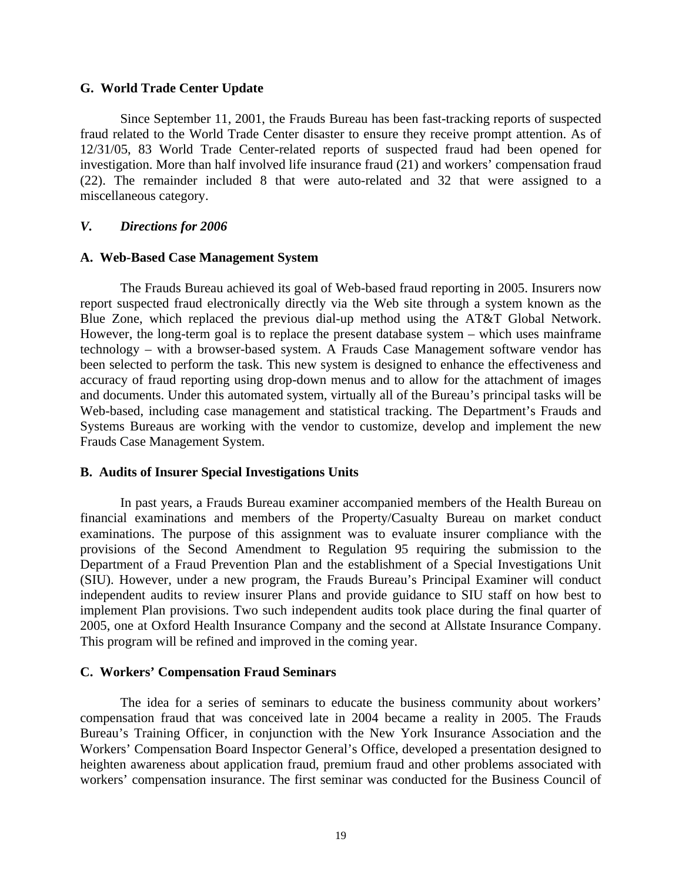#### **G. World Trade Center Update**

Since September 11, 2001, the Frauds Bureau has been fast-tracking reports of suspected fraud related to the World Trade Center disaster to ensure they receive prompt attention. As of 12/31/05, 83 World Trade Center-related reports of suspected fraud had been opened for investigation. More than half involved life insurance fraud (21) and workers' compensation fraud (22). The remainder included 8 that were auto-related and 32 that were assigned to a miscellaneous category.

#### *V. Directions for 2006*

#### **A. Web-Based Case Management System**

The Frauds Bureau achieved its goal of Web-based fraud reporting in 2005. Insurers now report suspected fraud electronically directly via the Web site through a system known as the Blue Zone, which replaced the previous dial-up method using the AT&T Global Network. However, the long-term goal is to replace the present database system – which uses mainframe technology – with a browser-based system. A Frauds Case Management software vendor has been selected to perform the task. This new system is designed to enhance the effectiveness and accuracy of fraud reporting using drop-down menus and to allow for the attachment of images and documents. Under this automated system, virtually all of the Bureau's principal tasks will be Web-based, including case management and statistical tracking. The Department's Frauds and Systems Bureaus are working with the vendor to customize, develop and implement the new Frauds Case Management System.

## **B. Audits of Insurer Special Investigations Units**

In past years, a Frauds Bureau examiner accompanied members of the Health Bureau on financial examinations and members of the Property/Casualty Bureau on market conduct examinations. The purpose of this assignment was to evaluate insurer compliance with the provisions of the Second Amendment to Regulation 95 requiring the submission to the Department of a Fraud Prevention Plan and the establishment of a Special Investigations Unit (SIU). However, under a new program, the Frauds Bureau's Principal Examiner will conduct independent audits to review insurer Plans and provide guidance to SIU staff on how best to implement Plan provisions. Two such independent audits took place during the final quarter of 2005, one at Oxford Health Insurance Company and the second at Allstate Insurance Company. This program will be refined and improved in the coming year.

#### **C. Workers' Compensation Fraud Seminars**

The idea for a series of seminars to educate the business community about workers' compensation fraud that was conceived late in 2004 became a reality in 2005. The Frauds Bureau's Training Officer, in conjunction with the New York Insurance Association and the Workers' Compensation Board Inspector General's Office, developed a presentation designed to heighten awareness about application fraud, premium fraud and other problems associated with workers' compensation insurance. The first seminar was conducted for the Business Council of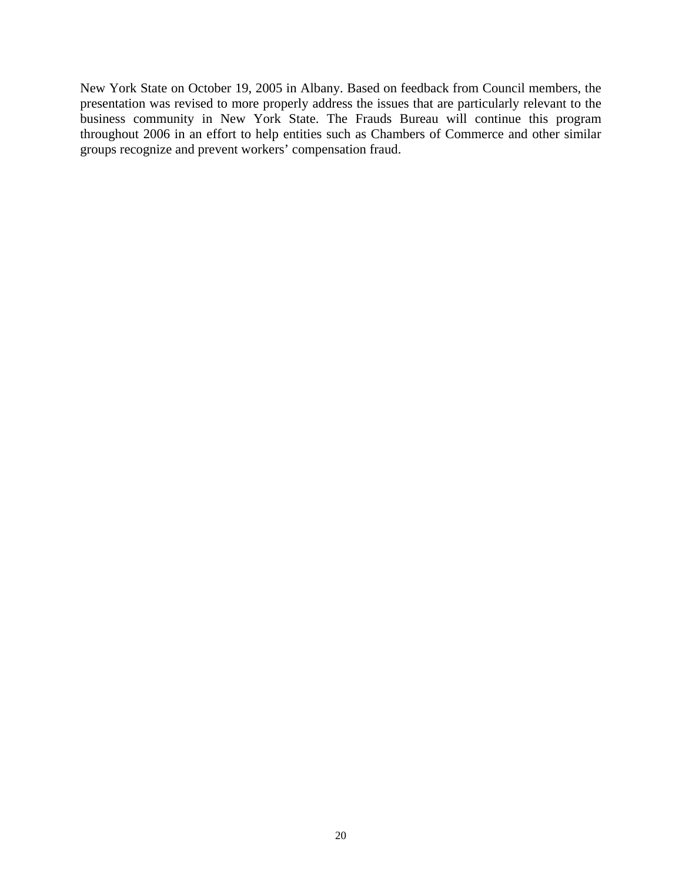New York State on October 19, 2005 in Albany. Based on feedback from Council members, the presentation was revised to more properly address the issues that are particularly relevant to the business community in New York State. The Frauds Bureau will continue this program throughout 2006 in an effort to help entities such as Chambers of Commerce and other similar groups recognize and prevent workers' compensation fraud.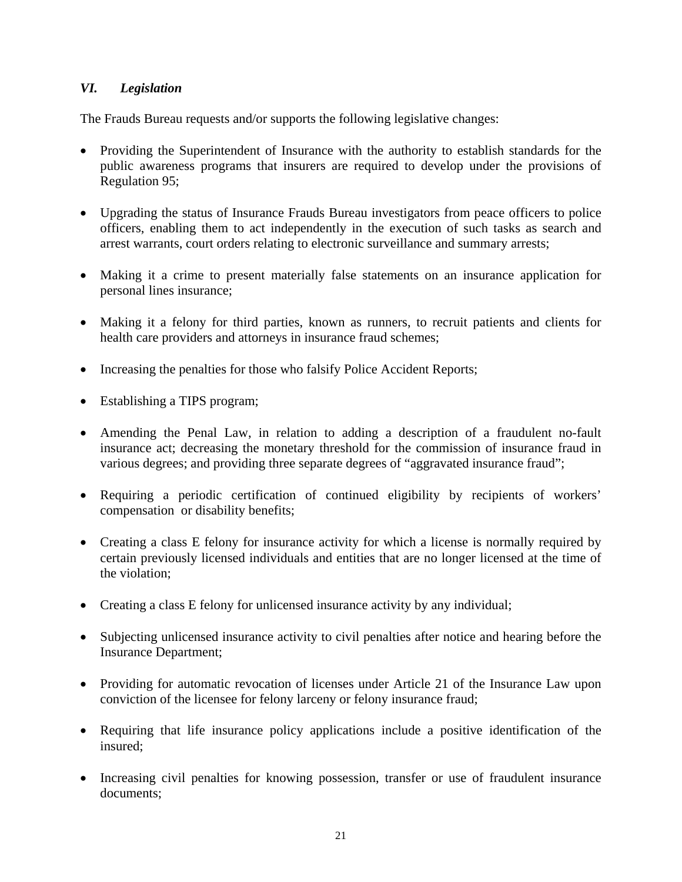# *VI. Legislation*

The Frauds Bureau requests and/or supports the following legislative changes:

- Providing the Superintendent of Insurance with the authority to establish standards for the public awareness programs that insurers are required to develop under the provisions of Regulation 95;
- Upgrading the status of Insurance Frauds Bureau investigators from peace officers to police officers, enabling them to act independently in the execution of such tasks as search and arrest warrants, court orders relating to electronic surveillance and summary arrests;
- Making it a crime to present materially false statements on an insurance application for personal lines insurance;
- Making it a felony for third parties, known as runners, to recruit patients and clients for health care providers and attorneys in insurance fraud schemes;
- Increasing the penalties for those who falsify Police Accident Reports;
- Establishing a TIPS program;
- Amending the Penal Law, in relation to adding a description of a fraudulent no-fault insurance act; decreasing the monetary threshold for the commission of insurance fraud in various degrees; and providing three separate degrees of "aggravated insurance fraud";
- Requiring a periodic certification of continued eligibility by recipients of workers' compensation or disability benefits;
- Creating a class E felony for insurance activity for which a license is normally required by certain previously licensed individuals and entities that are no longer licensed at the time of the violation;
- Creating a class E felony for unlicensed insurance activity by any individual;
- Subjecting unlicensed insurance activity to civil penalties after notice and hearing before the Insurance Department;
- Providing for automatic revocation of licenses under Article 21 of the Insurance Law upon conviction of the licensee for felony larceny or felony insurance fraud;
- Requiring that life insurance policy applications include a positive identification of the insured;
- Increasing civil penalties for knowing possession, transfer or use of fraudulent insurance documents;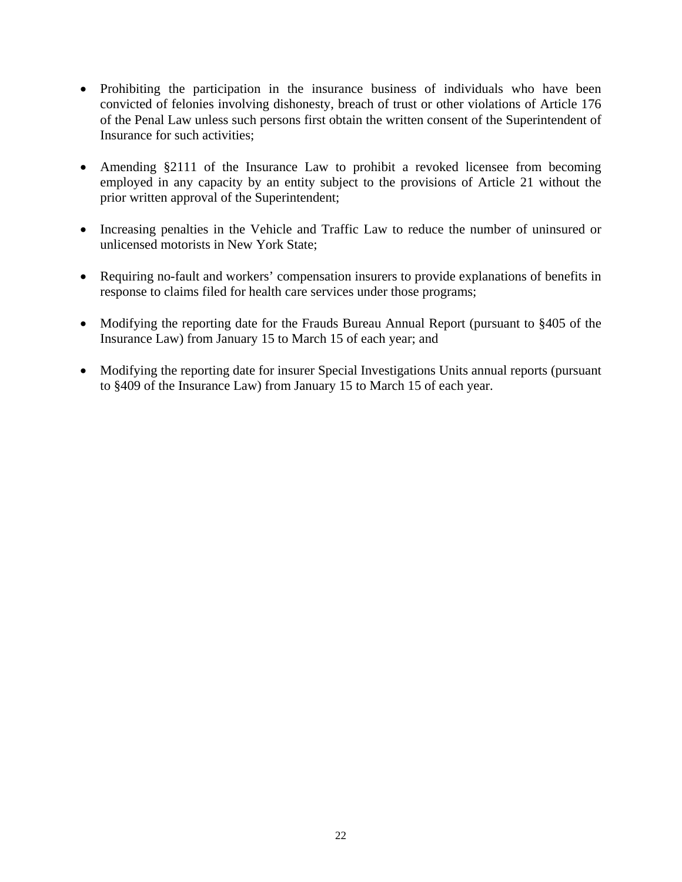- Prohibiting the participation in the insurance business of individuals who have been convicted of felonies involving dishonesty, breach of trust or other violations of Article 176 of the Penal Law unless such persons first obtain the written consent of the Superintendent of Insurance for such activities;
- Amending §2111 of the Insurance Law to prohibit a revoked licensee from becoming employed in any capacity by an entity subject to the provisions of Article 21 without the prior written approval of the Superintendent;
- Increasing penalties in the Vehicle and Traffic Law to reduce the number of uninsured or unlicensed motorists in New York State;
- Requiring no-fault and workers' compensation insurers to provide explanations of benefits in response to claims filed for health care services under those programs;
- Modifying the reporting date for the Frauds Bureau Annual Report (pursuant to §405 of the Insurance Law) from January 15 to March 15 of each year; and
- Modifying the reporting date for insurer Special Investigations Units annual reports (pursuant to §409 of the Insurance Law) from January 15 to March 15 of each year.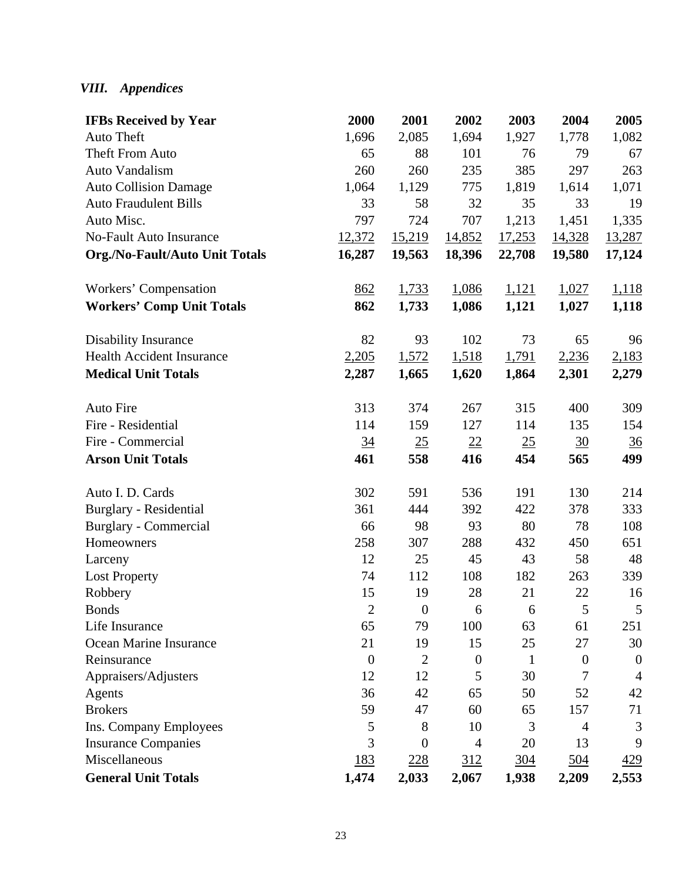# *VIII. Appendices*

| <b>IFBs Received by Year</b>          | 2000           | 2001             | 2002           | 2003         | 2004           | 2005           |
|---------------------------------------|----------------|------------------|----------------|--------------|----------------|----------------|
| Auto Theft                            | 1,696          | 2,085            | 1,694          | 1,927        | 1,778          | 1,082          |
| Theft From Auto                       | 65             | 88               | 101            | 76           | 79             | 67             |
| Auto Vandalism                        | 260            | 260              | 235            | 385          | 297            | 263            |
| <b>Auto Collision Damage</b>          | 1,064          | 1,129            | 775            | 1,819        | 1,614          | 1,071          |
| <b>Auto Fraudulent Bills</b>          | 33             | 58               | 32             | 35           | 33             | 19             |
| Auto Misc.                            | 797            | 724              | 707            | 1,213        | 1,451          | 1,335          |
| <b>No-Fault Auto Insurance</b>        | 12,372         | 15,219           | 14,852         | 17,253       | 14,328         | 13,287         |
| <b>Org./No-Fault/Auto Unit Totals</b> | 16,287         | 19,563           | 18,396         | 22,708       | 19,580         | 17,124         |
| Workers' Compensation                 | 862            | 1,733            | 1,086          | <u>1,121</u> | 1,027          | 1,118          |
| <b>Workers' Comp Unit Totals</b>      | 862            | 1,733            | 1,086          | 1,121        | 1,027          | 1,118          |
| <b>Disability Insurance</b>           | 82             | 93               | 102            | 73           | 65             | 96             |
| <b>Health Accident Insurance</b>      | 2,205          | 1,572            | 1,518          | 1,791        | 2,236          | 2,183          |
| <b>Medical Unit Totals</b>            | 2,287          | 1,665            | 1,620          | 1,864        | 2,301          | 2,279          |
| Auto Fire                             | 313            | 374              | 267            | 315          | 400            | 309            |
| Fire - Residential                    | 114            | 159              | 127            | 114          | 135            | 154            |
| Fire - Commercial                     | 34             | 25               | 22             | 25           | 30             | $\frac{36}{5}$ |
| <b>Arson Unit Totals</b>              | 461            | 558              | 416            | 454          | 565            | 499            |
| Auto I. D. Cards                      | 302            | 591              | 536            | 191          | 130            | 214            |
| Burglary - Residential                | 361            | 444              | 392            | 422          | 378            | 333            |
| Burglary - Commercial                 | 66             | 98               | 93             | 80           | 78             | 108            |
| Homeowners                            | 258            | 307              | 288            | 432          | 450            | 651            |
| Larceny                               | 12             | 25               | 45             | 43           | 58             | 48             |
| <b>Lost Property</b>                  | 74             | 112              | 108            | 182          | 263            | 339            |
| Robbery                               | 15             | 19               | 28             | 21           | 22             | 16             |
| Bonds                                 | $\mathbf{2}$   | $\overline{0}$   | 6              | 6            | 5              | 5              |
| Life Insurance                        | 65             | 79               | 100            | 63           | 61             | 251            |
| Ocean Marine Insurance                | 21             | 19               | 15             | 25           | 27             | 30             |
| Reinsurance                           | $\overline{0}$ | $\overline{2}$   | $\overline{0}$ | -1           | $\overline{0}$ | $\overline{0}$ |
| Appraisers/Adjusters                  | 12             | 12               | 5              | 30           | 7              | $\overline{4}$ |
| Agents                                | 36             | 42               | 65             | 50           | 52             | 42             |
| <b>Brokers</b>                        | 59             | 47               | 60             | 65           | 157            | 71             |
| Ins. Company Employees                | 5              | 8                | 10             | 3            | 4              | 3              |
| <b>Insurance Companies</b>            | 3              | $\boldsymbol{0}$ | 4              | 20           | 13             | 9              |
| Miscellaneous                         | <u>183</u>     | 228              | <u>312</u>     | <u>304</u>   | <u>504</u>     | <u>429</u>     |
| <b>General Unit Totals</b>            | 1,474          | 2,033            | 2,067          | 1,938        | 2,209          | 2,553          |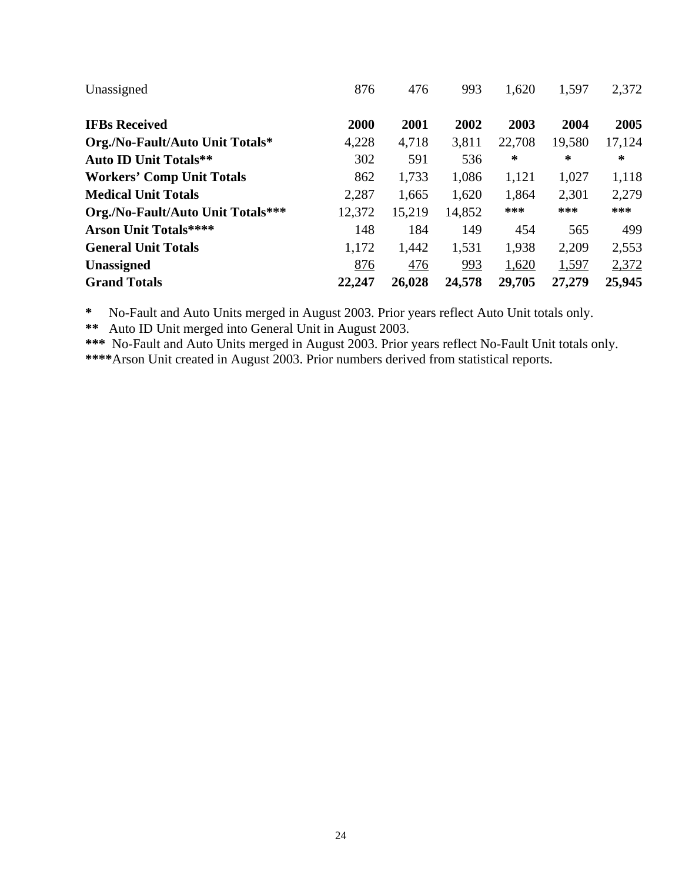| Unassigned                        | 876    | 476    | 993    | 1,620  | 1,597  | 2,372  |
|-----------------------------------|--------|--------|--------|--------|--------|--------|
| <b>IFBs Received</b>              | 2000   | 2001   | 2002   | 2003   | 2004   | 2005   |
| Org./No-Fault/Auto Unit Totals*   | 4,228  | 4,718  | 3,811  | 22,708 | 19,580 | 17,124 |
| <b>Auto ID Unit Totals**</b>      | 302    | 591    | 536    | ∗      | ∗      | ∗      |
| <b>Workers' Comp Unit Totals</b>  | 862    | 1,733  | 1,086  | 1,121  | 1,027  | 1,118  |
| <b>Medical Unit Totals</b>        | 2,287  | 1,665  | 1,620  | 1,864  | 2,301  | 2,279  |
| Org./No-Fault/Auto Unit Totals*** | 12,372 | 15,219 | 14,852 | ***    | ***    | ***    |
| <b>Arson Unit Totals****</b>      | 148    | 184    | 149    | 454    | 565    | 499    |
| <b>General Unit Totals</b>        | 1,172  | 1,442  | 1,531  | 1,938  | 2,209  | 2,553  |
| Unassigned                        | 876    | 476    | 993    | 1,620  | 1,597  | 2,372  |
| <b>Grand Totals</b>               | 22,247 | 26,028 | 24,578 | 29,705 | 27,279 | 25,945 |

**\*** No-Fault and Auto Units merged in August 2003. Prior years reflect Auto Unit totals only.

**\*\*** Auto ID Unit merged into General Unit in August 2003.

**\*\*\*** No-Fault and Auto Units merged in August 2003. Prior years reflect No-Fault Unit totals only. **\*\*\*\***Arson Unit created in August 2003. Prior numbers derived from statistical reports.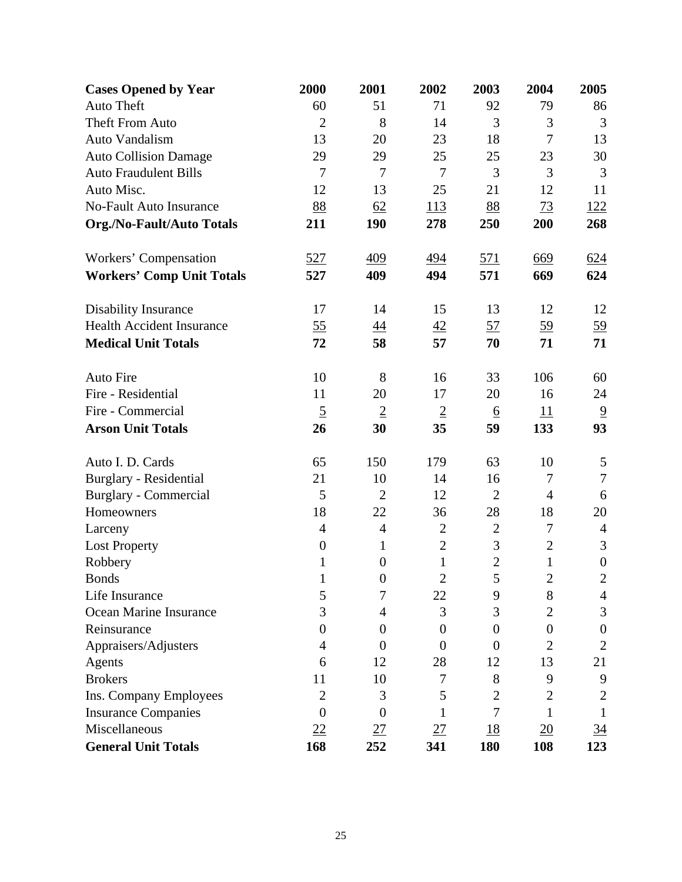| <b>Cases Opened by Year</b>      | 2000             | 2001             | 2002           | 2003           | 2004             | 2005                        |
|----------------------------------|------------------|------------------|----------------|----------------|------------------|-----------------------------|
| Auto Theft                       | 60               | 51               | 71             | 92             | 79               | 86                          |
| Theft From Auto                  | $\overline{2}$   | 8                | 14             | 3              | 3                | 3                           |
| Auto Vandalism                   | 13               | 20               | 23             | 18             | $\tau$           | 13                          |
| <b>Auto Collision Damage</b>     | 29               | 29               | 25             | 25             | 23               | 30                          |
| <b>Auto Fraudulent Bills</b>     | $\overline{7}$   | $\overline{7}$   | $\overline{7}$ | 3              | 3                | 3                           |
| Auto Misc.                       | 12               | 13               | 25             | 21             | 12               | 11                          |
| <b>No-Fault Auto Insurance</b>   | 88               | 62               | 113            | 88             | 73               | 122                         |
| Org./No-Fault/Auto Totals        | 211              | 190              | 278            | 250            | 200              | 268                         |
| Workers' Compensation            | <u>527</u>       | 409              | <u>494</u>     | 571            | 669              | 624                         |
| <b>Workers' Comp Unit Totals</b> | 527              | 409              | 494            | 571            | 669              | 624                         |
| Disability Insurance             | 17               | 14               | 15             | 13             | 12               | 12                          |
| <b>Health Accident Insurance</b> | $\frac{55}{5}$   | <u>44</u>        | $\frac{42}{5}$ | $\frac{57}{2}$ | <u>59</u>        | <u>59</u>                   |
| <b>Medical Unit Totals</b>       | 72               | 58               | 57             | 70             | 71               | 71                          |
| <b>Auto Fire</b>                 | 10               | 8                | 16             | 33             | 106              | 60                          |
| Fire - Residential               | 11               | 20               | 17             | 20             | 16               | 24                          |
| Fire - Commercial                | $\overline{5}$   | $\overline{2}$   | $\overline{2}$ | <u>6</u>       | 11               | $\overline{9}$              |
| <b>Arson Unit Totals</b>         | 26               | 30               | 35             | 59             | 133              | 93                          |
| Auto I. D. Cards                 | 65               | 150              | 179            | 63             | 10               | 5                           |
| Burglary - Residential           | 21               | 10               | 14             | 16             | $\boldsymbol{7}$ | $\boldsymbol{7}$            |
| <b>Burglary - Commercial</b>     | 5                | $\overline{2}$   | 12             | $\overline{2}$ | $\overline{4}$   | 6                           |
| Homeowners                       | 18               | 22               | 36             | 28             | 18               | 20                          |
| Larceny                          | $\overline{4}$   | $\overline{4}$   | $\overline{2}$ | $\overline{2}$ | $\tau$           | $\overline{4}$              |
| <b>Lost Property</b>             | $\boldsymbol{0}$ | $\mathbf{1}$     | $\overline{2}$ | 3              | $\mathbf{2}$     | $\ensuremath{\mathfrak{Z}}$ |
| Robbery                          | 1                | $\boldsymbol{0}$ | $\mathbf{1}$   | $\overline{2}$ | $\mathbf{1}$     | $\boldsymbol{0}$            |
| <b>Bonds</b>                     | $\mathbf{1}$     | $\boldsymbol{0}$ | $\overline{2}$ | 5              | $\mathbf{2}$     | $\mathbf{2}$                |
| Life Insurance                   | 5                | $\overline{7}$   | 22             | 9              | 8                | $\overline{4}$              |
| Ocean Marine Insurance           | 3                | 4                | 3              | 3              | $\overline{2}$   | $\mathfrak{Z}$              |
| Reinsurance                      | 0                | $\theta$         | 0              | 0              | $\overline{0}$   | $\boldsymbol{0}$            |
| Appraisers/Adjusters             | 4                | $\theta$         | 0              | $\theta$       | 2                | $\mathbf{2}$                |
| Agents                           | 6                | 12               | 28             | 12             | 13               | 21                          |
| <b>Brokers</b>                   | 11               | 10               | 7              | 8              | 9                | 9                           |
| Ins. Company Employees           | $\overline{2}$   | 3                | 5              | 2              | $\overline{2}$   | 2                           |
| <b>Insurance Companies</b>       | $\overline{0}$   | $\overline{0}$   |                | 7              | 1                | $\mathbf{1}$                |
| Miscellaneous                    | 22               | 27               | 27             | <u>18</u>      | 20               | <u>34</u>                   |
| <b>General Unit Totals</b>       | 168              | 252              | 341            | 180            | 108              | 123                         |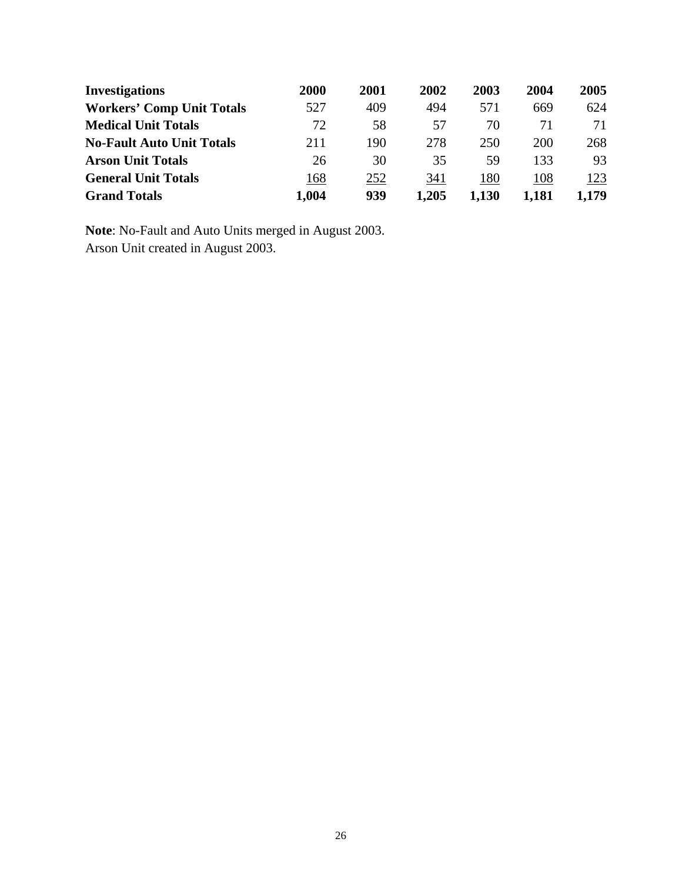| <b>Investigations</b>            | 2000  | 2001 | 2002  | 2003  | 2004       | 2005  |
|----------------------------------|-------|------|-------|-------|------------|-------|
| <b>Workers' Comp Unit Totals</b> | 527   | 409  | 494   | 571   | 669        | 624   |
| <b>Medical Unit Totals</b>       | 72    | 58   | 57    | 70    | 71         | 71    |
| <b>No-Fault Auto Unit Totals</b> | 211   | 190  | 278   | 250   | <b>200</b> | 268   |
| <b>Arson Unit Totals</b>         | 26    | 30   | 35    | 59    | 133        | 93    |
| <b>General Unit Totals</b>       | 168   | 252  | 341   | 180   | 108        | 123   |
| <b>Grand Totals</b>              | 1,004 | 939  | 1,205 | 1,130 | 1,181      | 1,179 |

**Note**: No-Fault and Auto Units merged in August 2003. Arson Unit created in August 2003.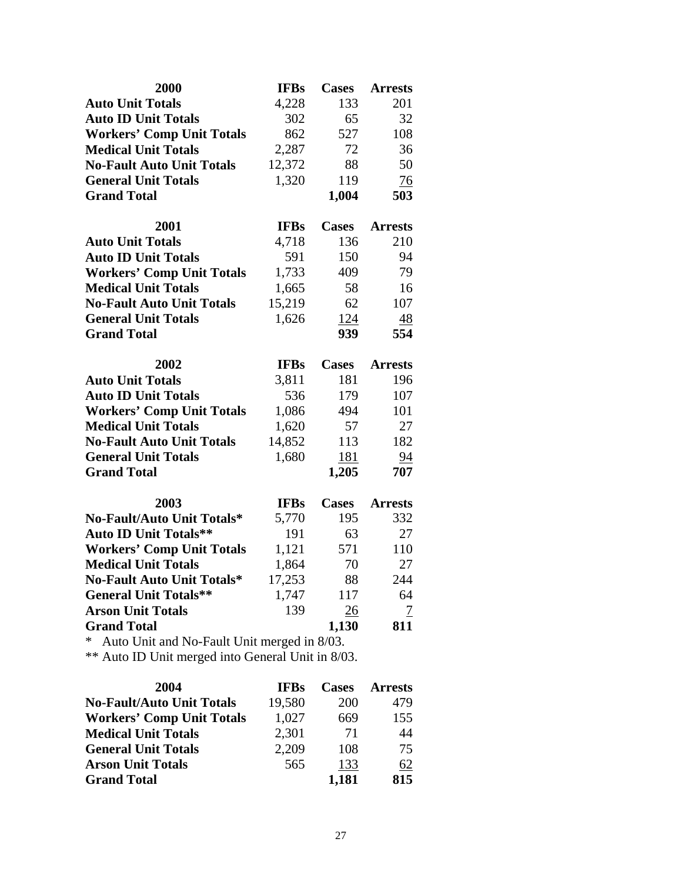| 2000                                                                                                                                                                                                                                                                                                                | <b>IFBs</b> | <b>Cases</b> | <b>Arrests</b>  |  |  |
|---------------------------------------------------------------------------------------------------------------------------------------------------------------------------------------------------------------------------------------------------------------------------------------------------------------------|-------------|--------------|-----------------|--|--|
| <b>Auto Unit Totals</b>                                                                                                                                                                                                                                                                                             | 4,228       | 133          | 201             |  |  |
| <b>Auto ID Unit Totals</b>                                                                                                                                                                                                                                                                                          | 302         | 65           | 32              |  |  |
| <b>Workers' Comp Unit Totals</b>                                                                                                                                                                                                                                                                                    | 862         | 527          | 108             |  |  |
| <b>Medical Unit Totals</b>                                                                                                                                                                                                                                                                                          | 2,287       | 72           | 36              |  |  |
| <b>No-Fault Auto Unit Totals</b>                                                                                                                                                                                                                                                                                    | 12,372      | 88           | 50              |  |  |
| <b>General Unit Totals</b>                                                                                                                                                                                                                                                                                          | 1,320       | 119          | 76              |  |  |
| <b>Grand Total</b>                                                                                                                                                                                                                                                                                                  |             | 1,004        | 503             |  |  |
| 2001                                                                                                                                                                                                                                                                                                                | <b>IFBs</b> | <b>Cases</b> | <b>Arrests</b>  |  |  |
| <b>Auto Unit Totals</b>                                                                                                                                                                                                                                                                                             | 4,718       | 136          | 210             |  |  |
| <b>Auto ID Unit Totals</b>                                                                                                                                                                                                                                                                                          | 591         | 150          | 94              |  |  |
| <b>Workers' Comp Unit Totals</b>                                                                                                                                                                                                                                                                                    | 1,733       | 409          | 79              |  |  |
| <b>Medical Unit Totals</b>                                                                                                                                                                                                                                                                                          | 1,665       | 58           | 16              |  |  |
| <b>No-Fault Auto Unit Totals</b>                                                                                                                                                                                                                                                                                    | 15,219      | 62           | 107             |  |  |
| <b>General Unit Totals</b>                                                                                                                                                                                                                                                                                          | 1,626       | 124          | $\overline{48}$ |  |  |
| <b>Grand Total</b>                                                                                                                                                                                                                                                                                                  |             | 939          | 554             |  |  |
|                                                                                                                                                                                                                                                                                                                     |             |              |                 |  |  |
| 2002                                                                                                                                                                                                                                                                                                                | <b>IFBs</b> | <b>Cases</b> | <b>Arrests</b>  |  |  |
| <b>Auto Unit Totals</b>                                                                                                                                                                                                                                                                                             | 3,811       | 181          | 196             |  |  |
| <b>Auto ID Unit Totals</b>                                                                                                                                                                                                                                                                                          | 536         | 179          | 107             |  |  |
| <b>Workers' Comp Unit Totals</b>                                                                                                                                                                                                                                                                                    | 1,086       | 494          | 101             |  |  |
| <b>Medical Unit Totals</b>                                                                                                                                                                                                                                                                                          | 1,620       | 57           | 27              |  |  |
| <b>No-Fault Auto Unit Totals</b>                                                                                                                                                                                                                                                                                    | 14,852      | 113          | 182             |  |  |
| <b>General Unit Totals</b>                                                                                                                                                                                                                                                                                          | 1,680       | 181          | 94              |  |  |
| <b>Grand Total</b>                                                                                                                                                                                                                                                                                                  |             | 1,205        | 707             |  |  |
| 2003                                                                                                                                                                                                                                                                                                                | <b>IFBs</b> | <b>Cases</b> | <b>Arrests</b>  |  |  |
| No-Fault/Auto Unit Totals*                                                                                                                                                                                                                                                                                          | 5,770       | 195          | 332             |  |  |
| <b>Auto ID Unit Totals**</b>                                                                                                                                                                                                                                                                                        | 191         | 63           | 27              |  |  |
| <b>Workers' Comp Unit Totals</b>                                                                                                                                                                                                                                                                                    | 1,121       | 571          | 110             |  |  |
| <b>Medical Unit Totals</b>                                                                                                                                                                                                                                                                                          | 1,864       | 70           | 27              |  |  |
| No-Fault Auto Unit Totals*                                                                                                                                                                                                                                                                                          | 17,253      | 88           | 244             |  |  |
| <b>General Unit Totals**</b>                                                                                                                                                                                                                                                                                        | 1,747       | 117          | 64              |  |  |
| <b>Arson Unit Totals</b>                                                                                                                                                                                                                                                                                            | 139         | 26           | 7               |  |  |
| <b>Grand Total</b>                                                                                                                                                                                                                                                                                                  |             | 1,130        | 811             |  |  |
| $\ast$<br>Auto Unit and No-Fault Unit merged in 8/03.                                                                                                                                                                                                                                                               |             |              |                 |  |  |
| $\frac{1}{2}$ $\frac{1}{2}$ $\frac{1}{2}$ $\frac{1}{2}$ $\frac{1}{2}$ $\frac{1}{2}$ $\frac{1}{2}$ $\frac{1}{2}$ $\frac{1}{2}$ $\frac{1}{2}$ $\frac{1}{2}$ $\frac{1}{2}$ $\frac{1}{2}$ $\frac{1}{2}$ $\frac{1}{2}$ $\frac{1}{2}$ $\frac{1}{2}$ $\frac{1}{2}$ $\frac{1}{2}$ $\frac{1}{2}$ $\frac{1}{2}$ $\frac{1}{2}$ |             |              |                 |  |  |

\*\* Auto ID Unit merged into General Unit in 8/03.

| 2004                             | <b>TFBs</b> | <b>Cases</b> | <b>Arrests</b> |
|----------------------------------|-------------|--------------|----------------|
| <b>No-Fault/Auto Unit Totals</b> | 19,580      | <b>200</b>   | 479            |
| <b>Workers' Comp Unit Totals</b> | 1,027       | 669          | 155            |
| <b>Medical Unit Totals</b>       | 2,301       | 71           | 44             |
| <b>General Unit Totals</b>       | 2,209       | 108          | 75             |
| <b>Arson Unit Totals</b>         | 565         | 133          | 62             |
| <b>Grand Total</b>               |             | 1,181        | 815            |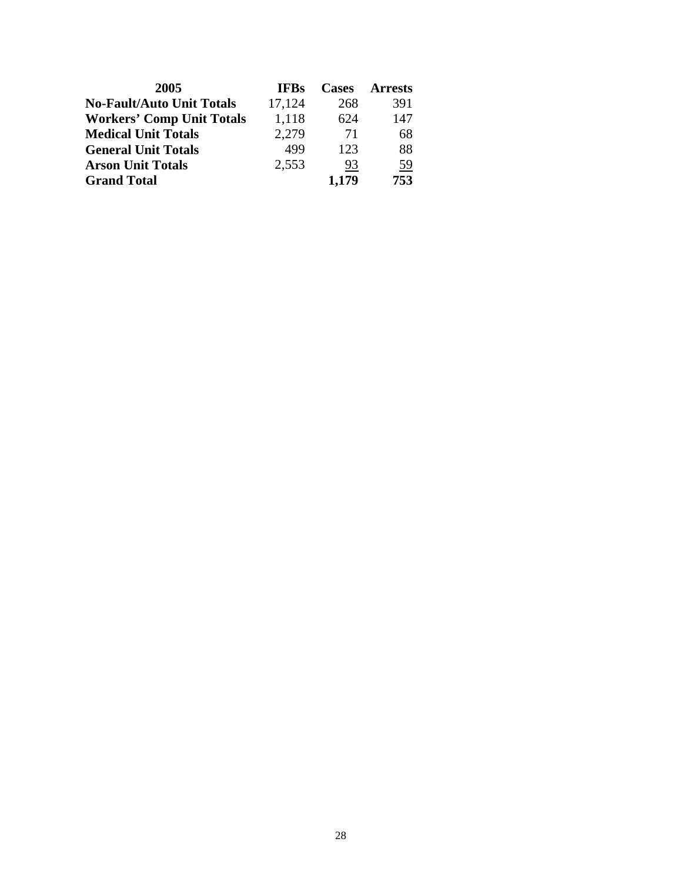| 2005                             | <b>TFBs</b> | <b>Cases</b> | <b>Arrests</b> |
|----------------------------------|-------------|--------------|----------------|
| <b>No-Fault/Auto Unit Totals</b> | 17,124      | 268          | 391            |
| <b>Workers' Comp Unit Totals</b> | 1,118       | 624          | 147            |
| <b>Medical Unit Totals</b>       | 2,279       | 71           | 68             |
| <b>General Unit Totals</b>       | 499         | 123          | 88             |
| <b>Arson Unit Totals</b>         | 2,553       | 93           | 59             |
| <b>Grand Total</b>               |             | 1,179        | 753            |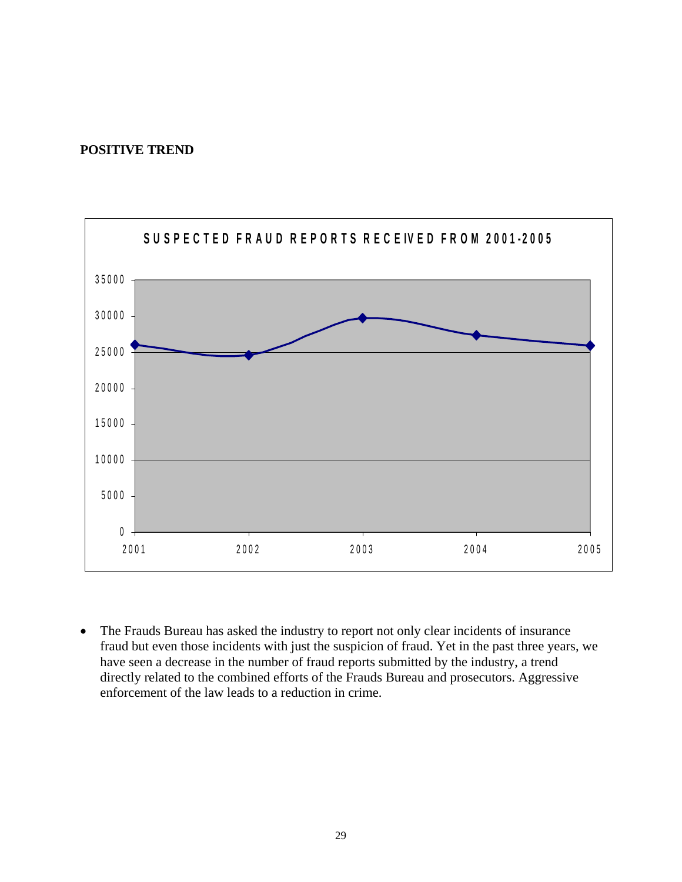## **POSITIVE TREND**



• The Frauds Bureau has asked the industry to report not only clear incidents of insurance fraud but even those incidents with just the suspicion of fraud. Yet in the past three years, we have seen a decrease in the number of fraud reports submitted by the industry, a trend directly related to the combined efforts of the Frauds Bureau and prosecutors. Aggressive enforcement of the law leads to a reduction in crime.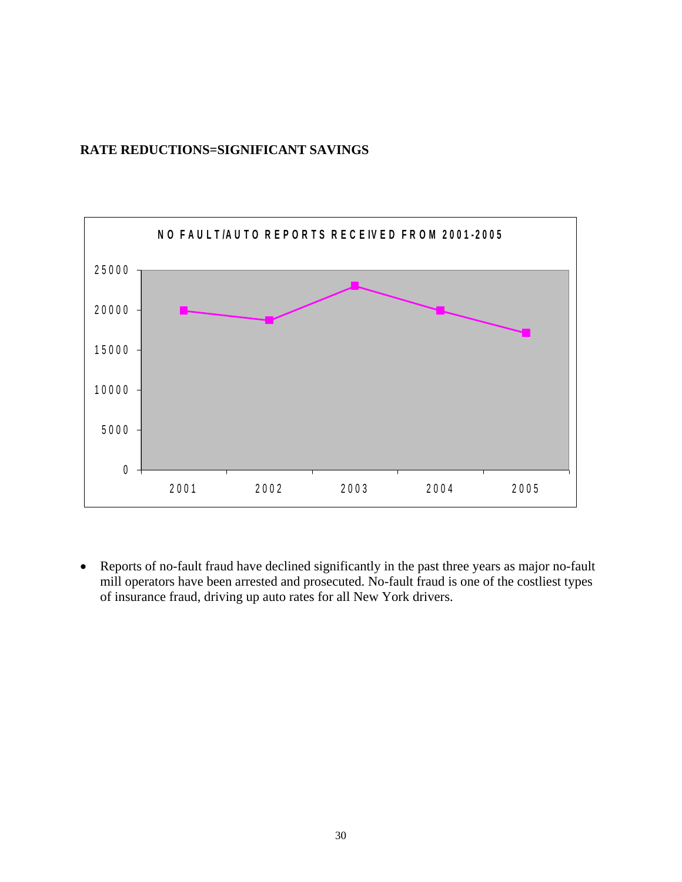## **RATE REDUCTIONS=SIGNIFICANT SAVINGS**



• Reports of no-fault fraud have declined significantly in the past three years as major no-fault mill operators have been arrested and prosecuted. No-fault fraud is one of the costliest types of insurance fraud, driving up auto rates for all New York drivers.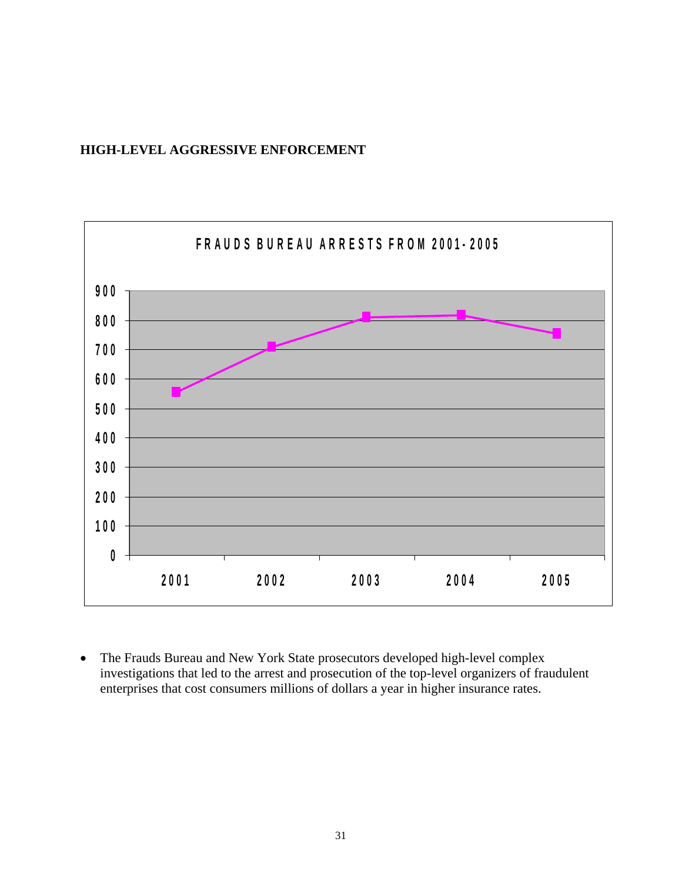# **HIGH-LEVEL AGGRESSIVE ENFORCEMENT**



• The Frauds Bureau and New York State prosecutors developed high-level complex investigations that led to the arrest and prosecution of the top-level organizers of fraudulent enterprises that cost consumers millions of dollars a year in higher insurance rates.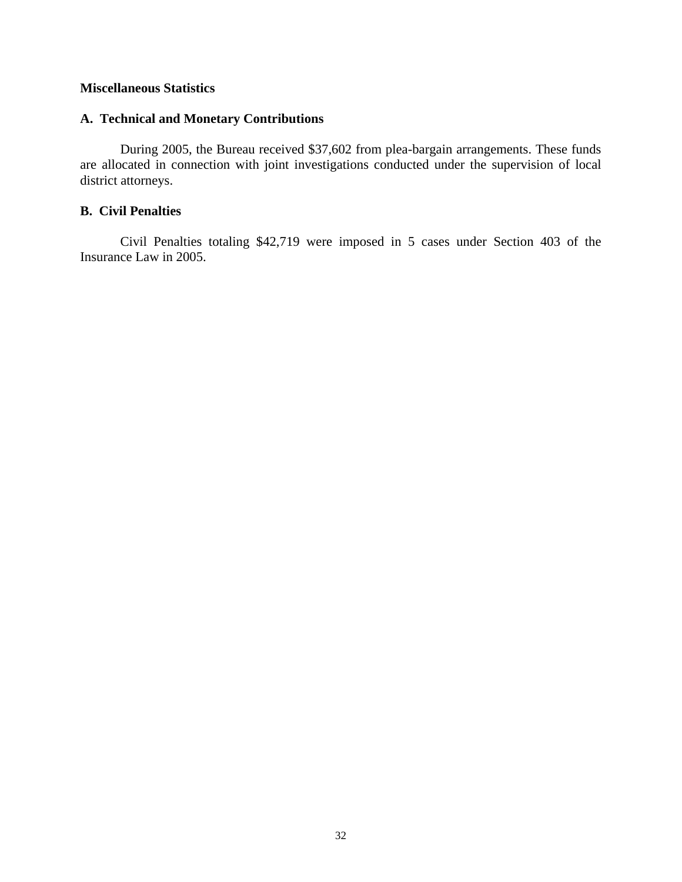## **Miscellaneous Statistics**

## **A. Technical and Monetary Contributions**

During 2005, the Bureau received \$37,602 from plea-bargain arrangements. These funds are allocated in connection with joint investigations conducted under the supervision of local district attorneys.

## **B. Civil Penalties**

Civil Penalties totaling \$42,719 were imposed in 5 cases under Section 403 of the Insurance Law in 2005.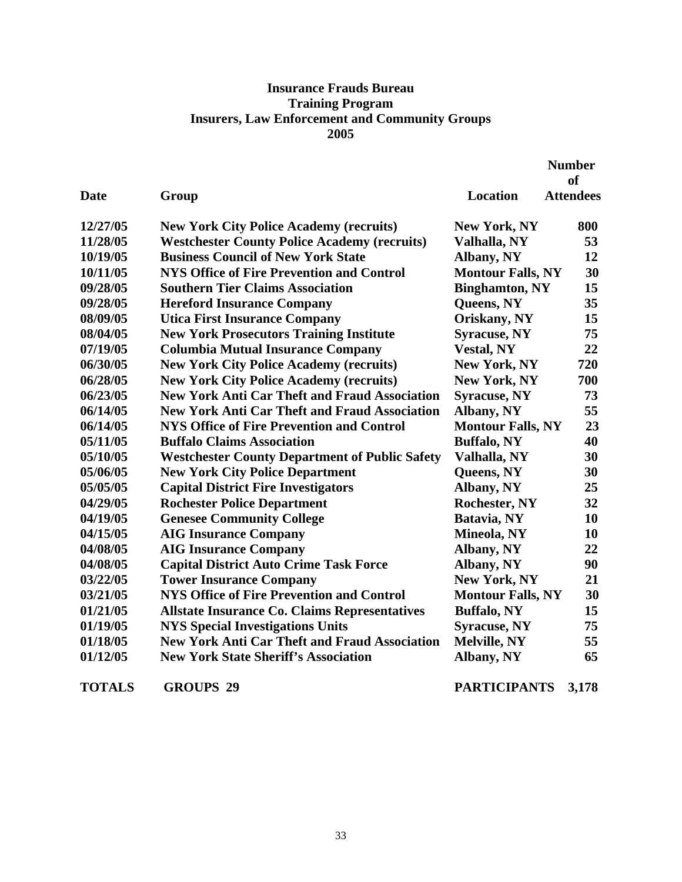# **Insurance Frauds Bureau Training Program Insurers, Law Enforcement and Community Groups 2005**

| <b>Date</b>   | Group                                                 | <b>Location</b>          | <b>Number</b><br>of<br><b>Attendees</b> |
|---------------|-------------------------------------------------------|--------------------------|-----------------------------------------|
|               |                                                       |                          |                                         |
| 12/27/05      | <b>New York City Police Academy (recruits)</b>        | <b>New York, NY</b>      | 800                                     |
| 11/28/05      | <b>Westchester County Police Academy (recruits)</b>   | Valhalla, NY             | 53                                      |
| 10/19/05      | <b>Business Council of New York State</b>             | Albany, NY               | 12                                      |
| 10/11/05      | <b>NYS Office of Fire Prevention and Control</b>      | <b>Montour Falls, NY</b> | 30                                      |
| 09/28/05      | <b>Southern Tier Claims Association</b>               | <b>Binghamton, NY</b>    | 15                                      |
| 09/28/05      | <b>Hereford Insurance Company</b>                     | Queens, NY               | 35                                      |
| 08/09/05      | <b>Utica First Insurance Company</b>                  | Oriskany, NY             | 15                                      |
| 08/04/05      | <b>New York Prosecutors Training Institute</b>        | <b>Syracuse, NY</b>      | 75                                      |
| 07/19/05      | <b>Columbia Mutual Insurance Company</b>              | <b>Vestal, NY</b>        | 22                                      |
| 06/30/05      | <b>New York City Police Academy (recruits)</b>        | <b>New York, NY</b>      | 720                                     |
| 06/28/05      | <b>New York City Police Academy (recruits)</b>        | <b>New York, NY</b>      | 700                                     |
| 06/23/05      | <b>New York Anti Car Theft and Fraud Association</b>  | <b>Syracuse, NY</b>      | 73                                      |
| 06/14/05      | <b>New York Anti Car Theft and Fraud Association</b>  | Albany, NY               | 55                                      |
| 06/14/05      | <b>NYS Office of Fire Prevention and Control</b>      | <b>Montour Falls, NY</b> | 23                                      |
| 05/11/05      | <b>Buffalo Claims Association</b>                     | <b>Buffalo, NY</b>       | 40                                      |
| 05/10/05      | <b>Westchester County Department of Public Safety</b> | Valhalla, NY             | 30                                      |
| 05/06/05      | <b>New York City Police Department</b>                | Queens, NY               | 30                                      |
| 05/05/05      | <b>Capital District Fire Investigators</b>            | Albany, NY               | 25                                      |
| 04/29/05      | <b>Rochester Police Department</b>                    | <b>Rochester, NY</b>     | 32                                      |
| 04/19/05      | <b>Genesee Community College</b>                      | Batavia, NY              | 10                                      |
| 04/15/05      | <b>AIG Insurance Company</b>                          | Mineola, NY              | 10                                      |
| 04/08/05      | <b>AIG Insurance Company</b>                          | Albany, NY               | 22                                      |
| 04/08/05      | <b>Capital District Auto Crime Task Force</b>         | Albany, NY               | 90                                      |
| 03/22/05      | <b>Tower Insurance Company</b>                        | New York, NY             | 21                                      |
| 03/21/05      | <b>NYS Office of Fire Prevention and Control</b>      | <b>Montour Falls, NY</b> | 30                                      |
| 01/21/05      | <b>Allstate Insurance Co. Claims Representatives</b>  | <b>Buffalo, NY</b>       | 15                                      |
| 01/19/05      | <b>NYS Special Investigations Units</b>               | <b>Syracuse, NY</b>      | 75                                      |
| 01/18/05      | <b>New York Anti Car Theft and Fraud Association</b>  | <b>Melville, NY</b>      | 55                                      |
| 01/12/05      | <b>New York State Sheriff's Association</b>           | Albany, NY               | 65                                      |
| <b>TOTALS</b> | <b>GROUPS 29</b>                                      | <b>PARTICIPANTS</b>      | 3.178                                   |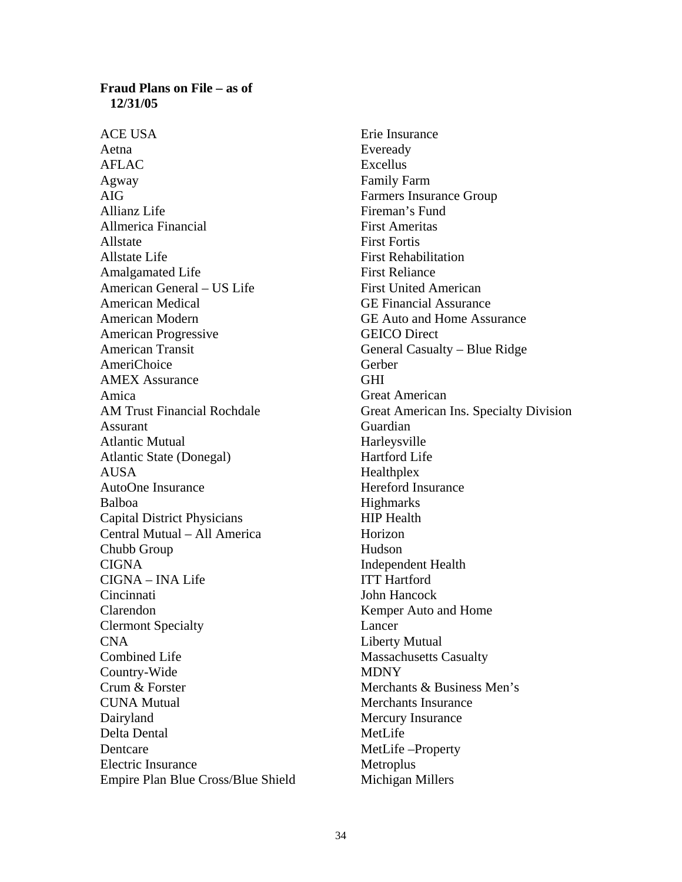# **Fraud Plans on File – as of 12/31/05**

ACE USA Aetna AFLAC Agway AIG Allianz Life Allmerica Financial Allstate Allstate Life Amalgamated Life American General – US Life American Medical American Modern American Progressive American Transit AmeriChoice AMEX Assurance Amica AM Trust Financial Rochdale Assurant Atlantic Mutual Atlantic State (Donegal) AUSA AutoOne Insurance Balboa Capital District Physicians Central Mutual – All America Chubb Group CIGNA CIGNA – INA Life Cincinnati Clarendon Clermont Specialty CNA Combined Life Country-Wide Crum & Forster CUNA Mutual Dairyland Delta Dental Dentcare Electric Insurance Empire Plan Blue Cross/Blue Shield Michigan Millers

Erie Insurance Eveready Excellus Family Farm Farmers Insurance Group Fireman's Fund First Ameritas First Fortis First Rehabilitation First Reliance First United American GE Financial Assurance GE Auto and Home Assurance GEICO Direct General Casualty – Blue Ridge Gerber **GHI** Great American Great American Ins. Specialty Division Guardian Harleysville Hartford Life Healthplex Hereford Insurance **Highmarks** HIP Health Horizon Hudson Independent Health ITT Hartford John Hancock Kemper Auto and Home Lancer Liberty Mutual Massachusetts Casualty MDNY Merchants & Business Men's Merchants Insurance Mercury Insurance MetLife MetLife –Property Metroplus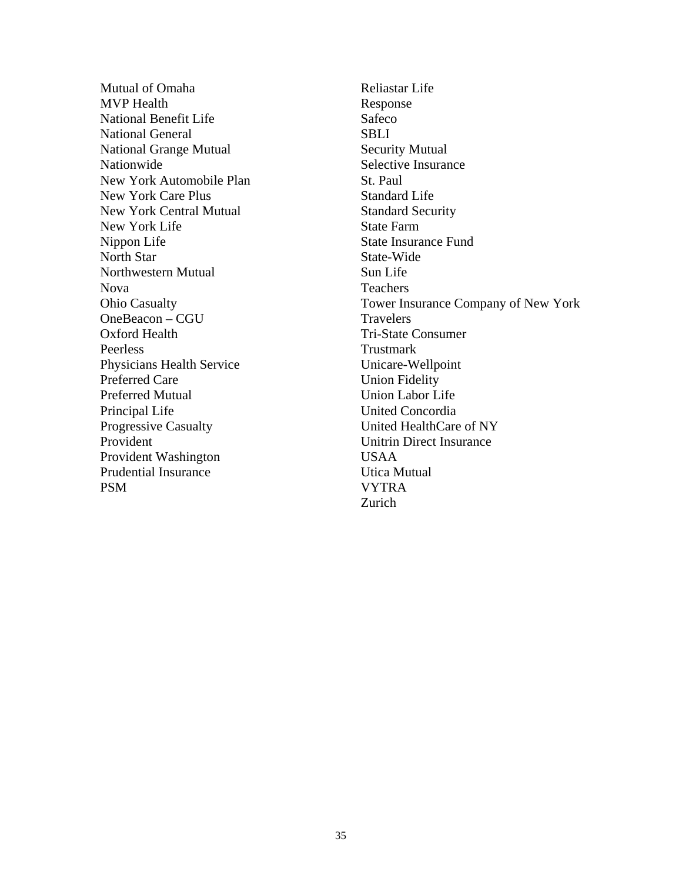Mutual of Omaha MVP Health National Benefit Life National General National Grange Mutual Nationwide New York Automobile Plan New York Care Plus New York Central Mutual New York Life Nippon Life North Star Northwestern Mutual Nova Ohio Casualty OneBeacon – CGU Oxford Health Peerless Physicians Health Service Preferred Care Preferred Mutual Principal Life Progressive Casualty Provident Provident Washington Prudential Insurance PSM

VYTRA<br>Zurich Reliastar Life Response Safeco SBLI Security Mutual Selective Insurance St. Paul Standard Life Standard Security State Farm State Insurance Fund State-Wide Sun Life Teachers Tower Insurance Company of New York Travelers Tri-State Consumer Trustmark Unicare-Wellpoint Union Fidelity Union Labor Life United Concordia United HealthCare of NY Unitrin Direct Insurance USAA Utica Mutual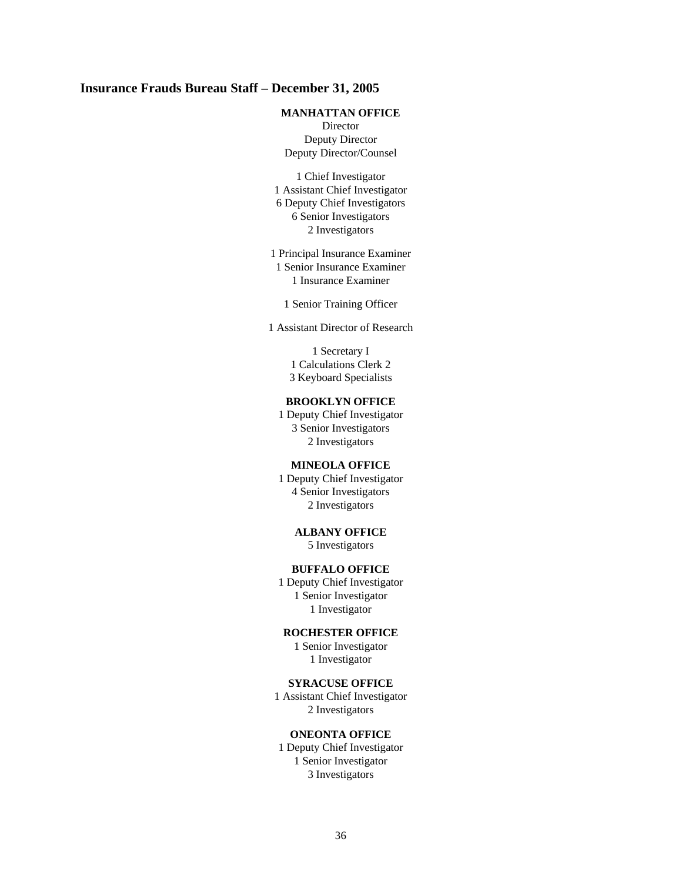#### **Insurance Frauds Bureau Staff – December 31, 2005**

#### **MANHATTAN OFFICE**

Director Deputy Director Deputy Director/Counsel

1 Chief Investigator 1 Assistant Chief Investigator 6 Deputy Chief Investigators 6 Senior Investigators 2 Investigators

1 Principal Insurance Examiner 1 Senior Insurance Examiner 1 Insurance Examiner

1 Senior Training Officer

1 Assistant Director of Research

1 Secretary I 1 Calculations Clerk 2 3 Keyboard Specialists

#### **BROOKLYN OFFICE**

1 Deputy Chief Investigator 3 Senior Investigators 2 Investigators

#### **MINEOLA OFFICE**

1 Deputy Chief Investigator 4 Senior Investigators 2 Investigators

#### **ALBANY OFFICE**

5 Investigators

## **BUFFALO OFFICE**

1 Deputy Chief Investigator 1 Senior Investigator 1 Investigator

#### **ROCHESTER OFFICE**

1 Senior Investigator 1 Investigator

#### **SYRACUSE OFFICE**

1 Assistant Chief Investigator 2 Investigators

#### **ONEONTA OFFICE**

1 Deputy Chief Investigator 1 Senior Investigator 3 Investigators